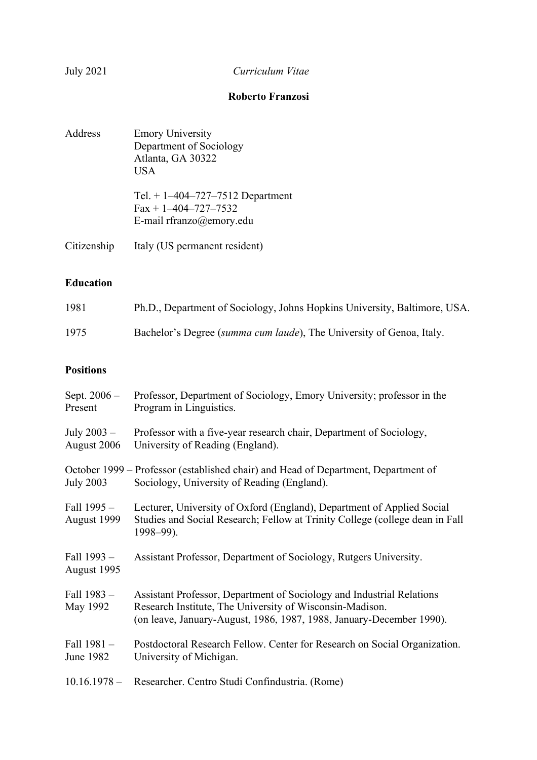# July 2021 *Curriculum Vitae*

# **Roberto Franzosi**

| Address     | <b>Emory University</b><br>Department of Sociology<br>Atlanta, GA 30322<br>USA                       |
|-------------|------------------------------------------------------------------------------------------------------|
|             | Tel. $+ 1 - 404 - 727 - 7512$ Department<br>$Fax + 1 - 404 - 727 - 7532$<br>E-mail rfranzo@emory.edu |
| Citizenship | Italy (US permanent resident)                                                                        |

## **Education**

| 1981 | Ph.D., Department of Sociology, Johns Hopkins University, Baltimore, USA. |
|------|---------------------------------------------------------------------------|
| 1975 | Bachelor's Degree (summa cum laude), The University of Genoa, Italy.      |

# **Positions**

| Sept. $2006 -$<br>Present    | Professor, Department of Sociology, Emory University; professor in the<br>Program in Linguistics.                                                                                                         |
|------------------------------|-----------------------------------------------------------------------------------------------------------------------------------------------------------------------------------------------------------|
| July $2003 -$<br>August 2006 | Professor with a five-year research chair, Department of Sociology,<br>University of Reading (England).                                                                                                   |
| <b>July 2003</b>             | October 1999 – Professor (established chair) and Head of Department, Department of<br>Sociology, University of Reading (England).                                                                         |
| Fall $1995 -$<br>August 1999 | Lecturer, University of Oxford (England), Department of Applied Social<br>Studies and Social Research; Fellow at Trinity College (college dean in Fall<br>$1998 - 99$ ).                                  |
| Fall 1993 -<br>August 1995   | Assistant Professor, Department of Sociology, Rutgers University.                                                                                                                                         |
| Fall 1983 -<br>May 1992      | Assistant Professor, Department of Sociology and Industrial Relations<br>Research Institute, The University of Wisconsin-Madison.<br>(on leave, January-August, 1986, 1987, 1988, January-December 1990). |
| Fall 1981 -<br>June 1982     | Postdoctoral Research Fellow. Center for Research on Social Organization.<br>University of Michigan.                                                                                                      |
| $10.16.1978 -$               | Researcher. Centro Studi Confindustria. (Rome)                                                                                                                                                            |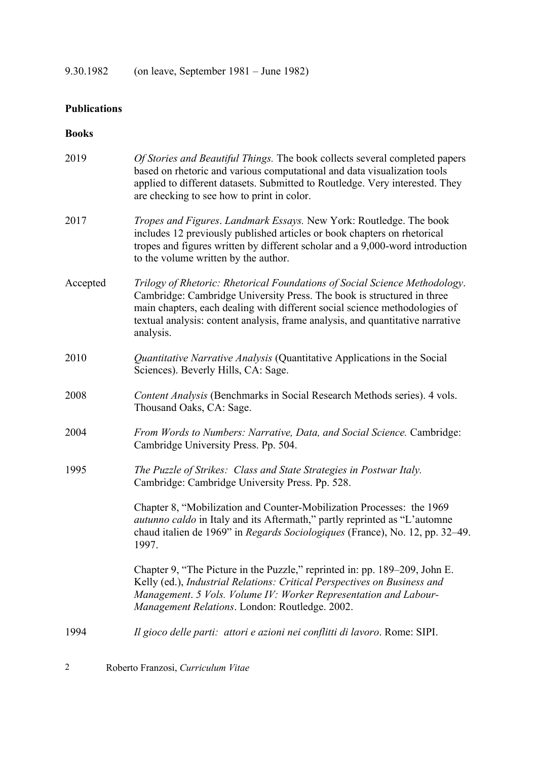9.30.1982 (on leave, September 1981 – June 1982)

# **Publications**

### **Books**

| 2019     | Of Stories and Beautiful Things. The book collects several completed papers<br>based on rhetoric and various computational and data visualization tools<br>applied to different datasets. Submitted to Routledge. Very interested. They<br>are checking to see how to print in color.                                             |
|----------|-----------------------------------------------------------------------------------------------------------------------------------------------------------------------------------------------------------------------------------------------------------------------------------------------------------------------------------|
| 2017     | Tropes and Figures. Landmark Essays. New York: Routledge. The book<br>includes 12 previously published articles or book chapters on rhetorical<br>tropes and figures written by different scholar and a 9,000-word introduction<br>to the volume written by the author.                                                           |
| Accepted | Trilogy of Rhetoric: Rhetorical Foundations of Social Science Methodology.<br>Cambridge: Cambridge University Press. The book is structured in three<br>main chapters, each dealing with different social science methodologies of<br>textual analysis: content analysis, frame analysis, and quantitative narrative<br>analysis. |
| 2010     | Quantitative Narrative Analysis (Quantitative Applications in the Social<br>Sciences). Beverly Hills, CA: Sage.                                                                                                                                                                                                                   |
| 2008     | Content Analysis (Benchmarks in Social Research Methods series). 4 vols.<br>Thousand Oaks, CA: Sage.                                                                                                                                                                                                                              |
| 2004     | From Words to Numbers: Narrative, Data, and Social Science. Cambridge:<br>Cambridge University Press. Pp. 504.                                                                                                                                                                                                                    |
| 1995     | The Puzzle of Strikes: Class and State Strategies in Postwar Italy.<br>Cambridge: Cambridge University Press. Pp. 528.                                                                                                                                                                                                            |
|          | Chapter 8, "Mobilization and Counter-Mobilization Processes: the 1969<br><i>autunno caldo</i> in Italy and its Aftermath," partly reprinted as "L'automne"<br>chaud italien de 1969" in Regards Sociologiques (France), No. 12, pp. 32–49.<br>1997.                                                                               |
|          | Chapter 9, "The Picture in the Puzzle," reprinted in: pp. 189–209, John E.<br>Kelly (ed.), Industrial Relations: Critical Perspectives on Business and<br>Management. 5 Vols. Volume IV: Worker Representation and Labour-<br>Management Relations. London: Routledge. 2002.                                                      |
| 1994     | Il gioco delle parti: attori e azioni nei conflitti di lavoro. Rome: SIPI.                                                                                                                                                                                                                                                        |
| 2        | Roberto Franzosi, Curriculum Vitae                                                                                                                                                                                                                                                                                                |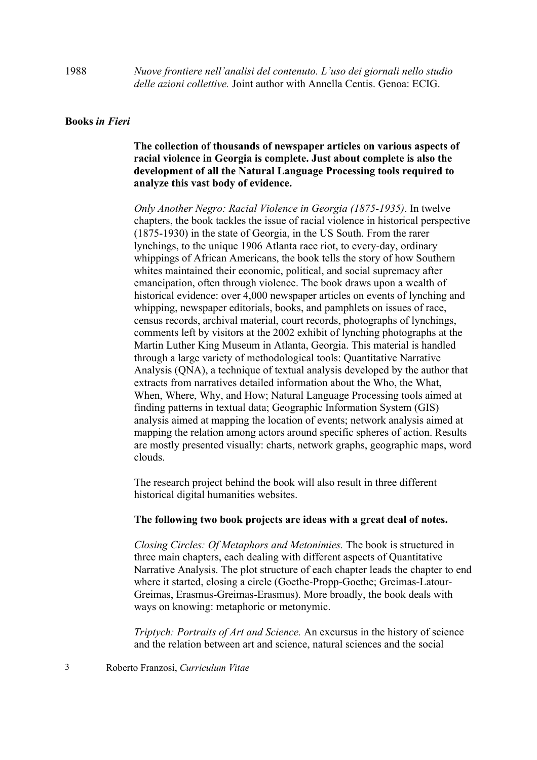#### **Books** *in Fieri*

**The collection of thousands of newspaper articles on various aspects of racial violence in Georgia is complete. Just about complete is also the development of all the Natural Language Processing tools required to analyze this vast body of evidence.**

*Only Another Negro: Racial Violence in Georgia (1875-1935)*. In twelve chapters, the book tackles the issue of racial violence in historical perspective (1875-1930) in the state of Georgia, in the US South. From the rarer lynchings, to the unique 1906 Atlanta race riot, to every-day, ordinary whippings of African Americans, the book tells the story of how Southern whites maintained their economic, political, and social supremacy after emancipation, often through violence. The book draws upon a wealth of historical evidence: over 4,000 newspaper articles on events of lynching and whipping, newspaper editorials, books, and pamphlets on issues of race, census records, archival material, court records, photographs of lynchings, comments left by visitors at the 2002 exhibit of lynching photographs at the Martin Luther King Museum in Atlanta, Georgia. This material is handled through a large variety of methodological tools: Quantitative Narrative Analysis (QNA), a technique of textual analysis developed by the author that extracts from narratives detailed information about the Who, the What, When, Where, Why, and How; Natural Language Processing tools aimed at finding patterns in textual data; Geographic Information System (GIS) analysis aimed at mapping the location of events; network analysis aimed at mapping the relation among actors around specific spheres of action. Results are mostly presented visually: charts, network graphs, geographic maps, word clouds.

The research project behind the book will also result in three different historical digital humanities websites.

#### **The following two book projects are ideas with a great deal of notes.**

*Closing Circles: Of Metaphors and Metonimies.* The book is structured in three main chapters, each dealing with different aspects of Quantitative Narrative Analysis. The plot structure of each chapter leads the chapter to end where it started, closing a circle (Goethe-Propp-Goethe; Greimas-Latour-Greimas, Erasmus-Greimas-Erasmus). More broadly, the book deals with ways on knowing: metaphoric or metonymic.

*Triptych: Portraits of Art and Science.* An excursus in the history of science and the relation between art and science, natural sciences and the social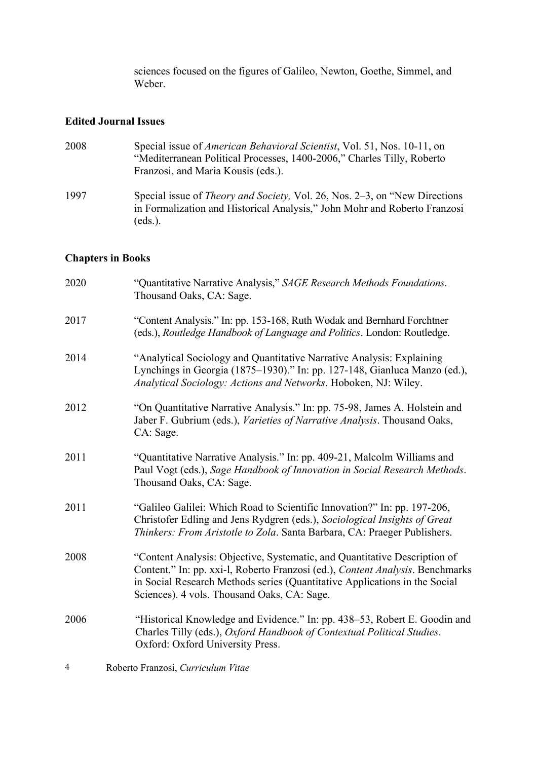sciences focused on the figures of Galileo, Newton, Goethe, Simmel, and Weber.

### **Edited Journal Issues**

| 2008 | Special issue of <i>American Behavioral Scientist</i> , Vol. 51, Nos. 10-11, on<br>"Mediterranean Political Processes, 1400-2006," Charles Tilly, Roberto<br>Franzosi, and Maria Kousis (eds.). |
|------|-------------------------------------------------------------------------------------------------------------------------------------------------------------------------------------------------|
| 1997 | Special issue of <i>Theory and Society</i> , Vol. 26, Nos. 2–3, on "New Directions"<br>in Formalization and Historical Analysis," John Mohr and Roberto Franzosi<br>$eds.$ ).                   |

# **Chapters in Books**

| 2020 | "Quantitative Narrative Analysis," SAGE Research Methods Foundations.<br>Thousand Oaks, CA: Sage.                                                                                                                                                                                       |
|------|-----------------------------------------------------------------------------------------------------------------------------------------------------------------------------------------------------------------------------------------------------------------------------------------|
| 2017 | "Content Analysis." In: pp. 153-168, Ruth Wodak and Bernhard Forchtner<br>(eds.), Routledge Handbook of Language and Politics. London: Routledge.                                                                                                                                       |
| 2014 | "Analytical Sociology and Quantitative Narrative Analysis: Explaining<br>Lynchings in Georgia (1875-1930)." In: pp. 127-148, Gianluca Manzo (ed.),<br>Analytical Sociology: Actions and Networks. Hoboken, NJ: Wiley.                                                                   |
| 2012 | "On Quantitative Narrative Analysis." In: pp. 75-98, James A. Holstein and<br>Jaber F. Gubrium (eds.), Varieties of Narrative Analysis. Thousand Oaks,<br>CA: Sage.                                                                                                                     |
| 2011 | "Quantitative Narrative Analysis." In: pp. 409-21, Malcolm Williams and<br>Paul Vogt (eds.), Sage Handbook of Innovation in Social Research Methods.<br>Thousand Oaks, CA: Sage.                                                                                                        |
| 2011 | "Galileo Galilei: Which Road to Scientific Innovation?" In: pp. 197-206,<br>Christofer Edling and Jens Rydgren (eds.), Sociological Insights of Great<br>Thinkers: From Aristotle to Zola. Santa Barbara, CA: Praeger Publishers.                                                       |
| 2008 | "Content Analysis: Objective, Systematic, and Quantitative Description of<br>Content." In: pp. xxi-l, Roberto Franzosi (ed.), Content Analysis. Benchmarks<br>in Social Research Methods series (Quantitative Applications in the Social<br>Sciences). 4 vols. Thousand Oaks, CA: Sage. |
| 2006 | "Historical Knowledge and Evidence." In: pp. 438-53, Robert E. Goodin and<br>Charles Tilly (eds.), Oxford Handbook of Contextual Political Studies.<br>Oxford: Oxford University Press.                                                                                                 |
| 4    | Roberto Franzosi, Curriculum Vitae                                                                                                                                                                                                                                                      |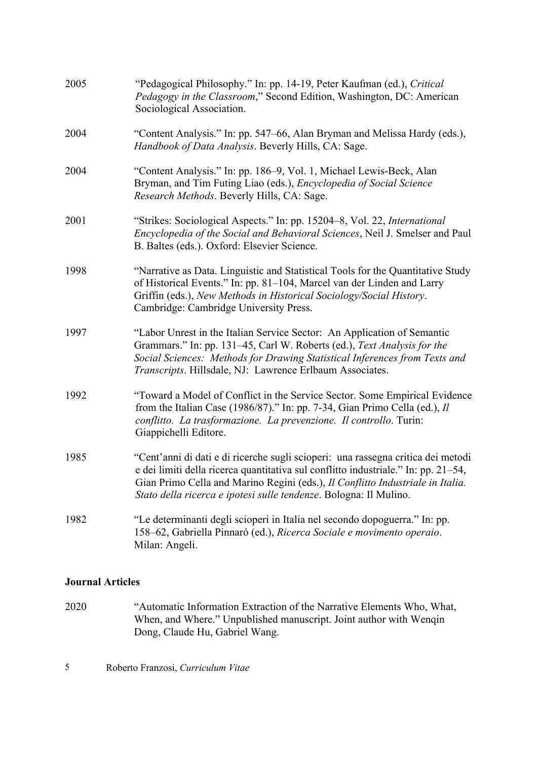| 2005 | "Pedagogical Philosophy." In: pp. 14-19, Peter Kaufman (ed.), Critical<br>Pedagogy in the Classroom," Second Edition, Washington, DC: American<br>Sociological Association.                                                                                                                                                   |
|------|-------------------------------------------------------------------------------------------------------------------------------------------------------------------------------------------------------------------------------------------------------------------------------------------------------------------------------|
| 2004 | "Content Analysis." In: pp. 547–66, Alan Bryman and Melissa Hardy (eds.),<br>Handbook of Data Analysis. Beverly Hills, CA: Sage.                                                                                                                                                                                              |
| 2004 | "Content Analysis." In: pp. 186–9, Vol. 1, Michael Lewis-Beck, Alan<br>Bryman, and Tim Futing Liao (eds.), <i>Encyclopedia of Social Science</i><br>Research Methods. Beverly Hills, CA: Sage.                                                                                                                                |
| 2001 | "Strikes: Sociological Aspects." In: pp. 15204–8, Vol. 22, International<br>Encyclopedia of the Social and Behavioral Sciences, Neil J. Smelser and Paul<br>B. Baltes (eds.). Oxford: Elsevier Science.                                                                                                                       |
| 1998 | "Narrative as Data. Linguistic and Statistical Tools for the Quantitative Study<br>of Historical Events." In: pp. 81–104, Marcel van der Linden and Larry<br>Griffin (eds.), New Methods in Historical Sociology/Social History.<br>Cambridge: Cambridge University Press.                                                    |
| 1997 | "Labor Unrest in the Italian Service Sector: An Application of Semantic<br>Grammars." In: pp. 131-45, Carl W. Roberts (ed.), Text Analysis for the<br>Social Sciences: Methods for Drawing Statistical Inferences from Texts and<br>Transcripts. Hillsdale, NJ: Lawrence Erlbaum Associates.                                  |
| 1992 | "Toward a Model of Conflict in the Service Sector. Some Empirical Evidence<br>from the Italian Case (1986/87)." In: pp. 7-34, Gian Primo Cella (ed.), $II$<br>conflitto. La trasformazione. La prevenzione. Il controllo. Turin:<br>Giappichelli Editore.                                                                     |
| 1985 | "Cent'anni di dati e di ricerche sugli scioperi: una rassegna critica dei metodi<br>e dei limiti della ricerca quantitativa sul conflitto industriale." In: pp. 21–54,<br>Gian Primo Cella and Marino Regini (eds.), Il Conflitto Industriale in Italia.<br>Stato della ricerca e ipotesi sulle tendenze. Bologna: Il Mulino. |
| 1982 | "Le determinanti degli scioperi in Italia nel secondo dopoguerra." In: pp.<br>158-62, Gabriella Pinnaró (ed.), Ricerca Sociale e movimento operaio.<br>Milan: Angeli.                                                                                                                                                         |

## **Journal Articles**

2020 "Automatic Information Extraction of the Narrative Elements Who, What, When, and Where." Unpublished manuscript. Joint author with Wenqin Dong, Claude Hu, Gabriel Wang.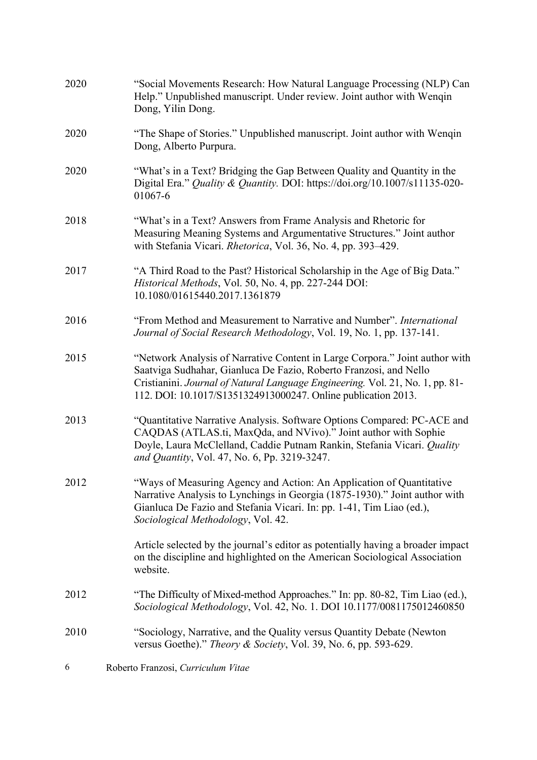| 2020 | "Social Movements Research: How Natural Language Processing (NLP) Can<br>Help." Unpublished manuscript. Under review. Joint author with Wenqin<br>Dong, Yilin Dong.                                                                                                                                |
|------|----------------------------------------------------------------------------------------------------------------------------------------------------------------------------------------------------------------------------------------------------------------------------------------------------|
| 2020 | "The Shape of Stories." Unpublished manuscript. Joint author with Wenqin<br>Dong, Alberto Purpura.                                                                                                                                                                                                 |
| 2020 | "What's in a Text? Bridging the Gap Between Quality and Quantity in the<br>Digital Era." Quality & Quantity. DOI: https://doi.org/10.1007/s11135-020-<br>01067-6                                                                                                                                   |
| 2018 | "What's in a Text? Answers from Frame Analysis and Rhetoric for<br>Measuring Meaning Systems and Argumentative Structures." Joint author<br>with Stefania Vicari. Rhetorica, Vol. 36, No. 4, pp. 393-429.                                                                                          |
| 2017 | "A Third Road to the Past? Historical Scholarship in the Age of Big Data."<br>Historical Methods, Vol. 50, No. 4, pp. 227-244 DOI:<br>10.1080/01615440.2017.1361879                                                                                                                                |
| 2016 | "From Method and Measurement to Narrative and Number". International<br>Journal of Social Research Methodology, Vol. 19, No. 1, pp. 137-141.                                                                                                                                                       |
| 2015 | "Network Analysis of Narrative Content in Large Corpora." Joint author with<br>Saatviga Sudhahar, Gianluca De Fazio, Roberto Franzosi, and Nello<br>Cristianini. Journal of Natural Language Engineering. Vol. 21, No. 1, pp. 81-<br>112. DOI: 10.1017/S1351324913000247. Online publication 2013. |
| 2013 | "Quantitative Narrative Analysis. Software Options Compared: PC-ACE and<br>CAQDAS (ATLAS.ti, MaxQda, and NVivo)." Joint author with Sophie<br>Doyle, Laura McClelland, Caddie Putnam Rankin, Stefania Vicari. Quality<br>and Quantity, Vol. 47, No. 6, Pp. 3219-3247.                              |
| 2012 | "Ways of Measuring Agency and Action: An Application of Quantitative<br>Narrative Analysis to Lynchings in Georgia (1875-1930)." Joint author with<br>Gianluca De Fazio and Stefania Vicari. In: pp. 1-41, Tim Liao (ed.),<br>Sociological Methodology, Vol. 42.                                   |
|      | Article selected by the journal's editor as potentially having a broader impact<br>on the discipline and highlighted on the American Sociological Association<br>website.                                                                                                                          |
| 2012 | "The Difficulty of Mixed-method Approaches." In: pp. 80-82, Tim Liao (ed.),<br>Sociological Methodology, Vol. 42, No. 1. DOI 10.1177/0081175012460850                                                                                                                                              |
| 2010 | "Sociology, Narrative, and the Quality versus Quantity Debate (Newton<br>versus Goethe)." Theory & Society, Vol. 39, No. 6, pp. 593-629.                                                                                                                                                           |
| 6    | Roberto Franzosi, Curriculum Vitae                                                                                                                                                                                                                                                                 |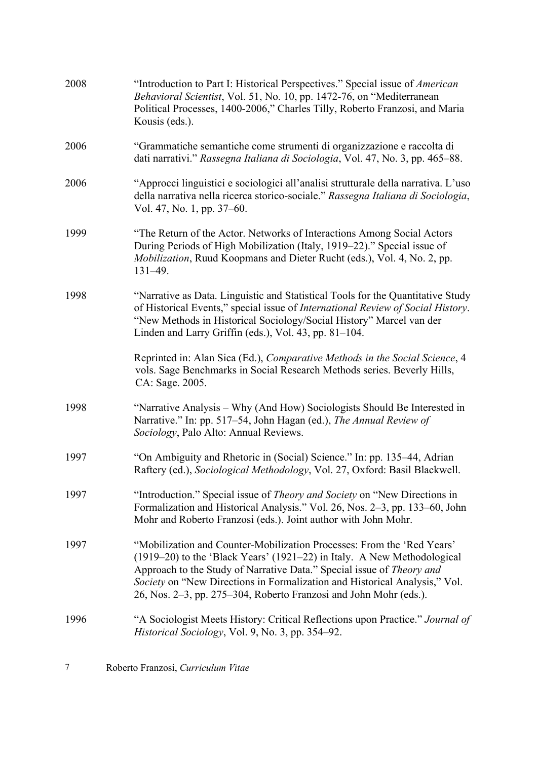| 2008 | "Introduction to Part I: Historical Perspectives." Special issue of <i>American</i><br>Behavioral Scientist, Vol. 51, No. 10, pp. 1472-76, on "Mediterranean<br>Political Processes, 1400-2006," Charles Tilly, Roberto Franzosi, and Maria<br>Kousis (eds.).                                                                                                                 |
|------|-------------------------------------------------------------------------------------------------------------------------------------------------------------------------------------------------------------------------------------------------------------------------------------------------------------------------------------------------------------------------------|
| 2006 | "Grammatiche semantiche come strumenti di organizzazione e raccolta di<br>dati narrativi." Rassegna Italiana di Sociologia, Vol. 47, No. 3, pp. 465–88.                                                                                                                                                                                                                       |
| 2006 | "Approcci linguistici e sociologici all'analisi strutturale della narrativa. L'uso<br>della narrativa nella ricerca storico-sociale." Rassegna Italiana di Sociologia,<br>Vol. 47, No. 1, pp. 37–60.                                                                                                                                                                          |
| 1999 | "The Return of the Actor. Networks of Interactions Among Social Actors<br>During Periods of High Mobilization (Italy, 1919–22)." Special issue of<br>Mobilization, Ruud Koopmans and Dieter Rucht (eds.), Vol. 4, No. 2, pp.<br>$131 - 49.$                                                                                                                                   |
| 1998 | "Narrative as Data. Linguistic and Statistical Tools for the Quantitative Study<br>of Historical Events," special issue of International Review of Social History.<br>"New Methods in Historical Sociology/Social History" Marcel van der<br>Linden and Larry Griffin (eds.), Vol. 43, pp. 81-104.                                                                            |
|      | Reprinted in: Alan Sica (Ed.), Comparative Methods in the Social Science, 4<br>vols. Sage Benchmarks in Social Research Methods series. Beverly Hills,<br>CA: Sage. 2005.                                                                                                                                                                                                     |
| 1998 | "Narrative Analysis – Why (And How) Sociologists Should Be Interested in<br>Narrative." In: pp. 517–54, John Hagan (ed.), The Annual Review of<br>Sociology, Palo Alto: Annual Reviews.                                                                                                                                                                                       |
| 1997 | "On Ambiguity and Rhetoric in (Social) Science." In: pp. 135–44, Adrian<br>Raftery (ed.), Sociological Methodology, Vol. 27, Oxford: Basil Blackwell.                                                                                                                                                                                                                         |
| 1997 | "Introduction." Special issue of <i>Theory and Society</i> on "New Directions in<br>Formalization and Historical Analysis." Vol. 26, Nos. 2-3, pp. 133-60, John<br>Mohr and Roberto Franzosi (eds.). Joint author with John Mohr.                                                                                                                                             |
| 1997 | "Mobilization and Counter-Mobilization Processes: From the 'Red Years'<br>(1919–20) to the 'Black Years' (1921–22) in Italy. A New Methodological<br>Approach to the Study of Narrative Data." Special issue of Theory and<br>Society on "New Directions in Formalization and Historical Analysis," Vol.<br>26, Nos. 2-3, pp. 275-304, Roberto Franzosi and John Mohr (eds.). |
| 1996 | "A Sociologist Meets History: Critical Reflections upon Practice." Journal of<br>Historical Sociology, Vol. 9, No. 3, pp. 354–92.                                                                                                                                                                                                                                             |
|      |                                                                                                                                                                                                                                                                                                                                                                               |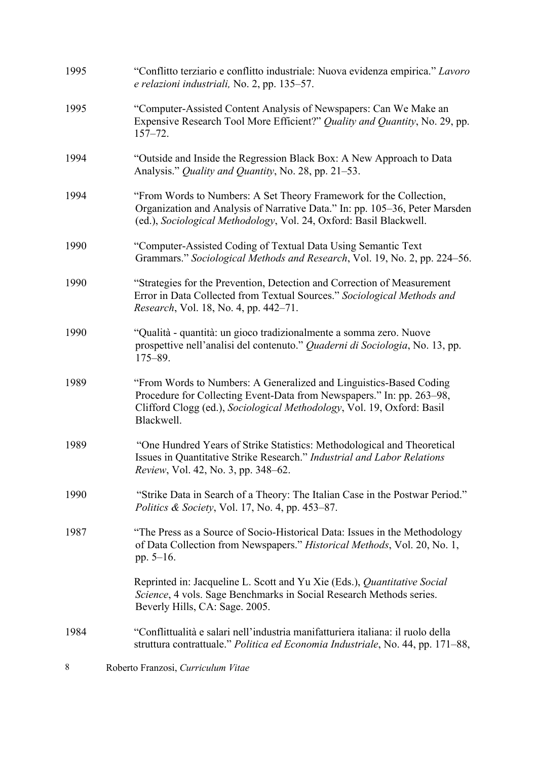| 1995 | "Conflitto terziario e conflitto industriale: Nuova evidenza empirica." Lavoro<br>e relazioni industriali, No. 2, pp. 135–57.                                                                                                       |
|------|-------------------------------------------------------------------------------------------------------------------------------------------------------------------------------------------------------------------------------------|
| 1995 | "Computer-Assisted Content Analysis of Newspapers: Can We Make an<br>Expensive Research Tool More Efficient?" Quality and Quantity, No. 29, pp.<br>$157 - 72.$                                                                      |
| 1994 | "Outside and Inside the Regression Black Box: A New Approach to Data<br>Analysis." <i>Quality and Quantity</i> , No. 28, pp. 21–53.                                                                                                 |
| 1994 | "From Words to Numbers: A Set Theory Framework for the Collection,<br>Organization and Analysis of Narrative Data." In: pp. 105–36, Peter Marsden<br>(ed.), Sociological Methodology, Vol. 24, Oxford: Basil Blackwell.             |
| 1990 | "Computer-Assisted Coding of Textual Data Using Semantic Text<br>Grammars." Sociological Methods and Research, Vol. 19, No. 2, pp. 224–56.                                                                                          |
| 1990 | "Strategies for the Prevention, Detection and Correction of Measurement<br>Error in Data Collected from Textual Sources." Sociological Methods and<br><i>Research</i> , Vol. 18, No. 4, pp. 442–71.                                 |
| 1990 | "Qualità - quantità: un gioco tradizionalmente a somma zero. Nuove<br>prospettive nell'analisi del contenuto." Quaderni di Sociologia, No. 13, pp.<br>$175 - 89.$                                                                   |
| 1989 | "From Words to Numbers: A Generalized and Linguistics-Based Coding<br>Procedure for Collecting Event-Data from Newspapers." In: pp. 263–98,<br>Clifford Clogg (ed.), Sociological Methodology, Vol. 19, Oxford: Basil<br>Blackwell. |
| 1989 | "One Hundred Years of Strike Statistics: Methodological and Theoretical<br>Issues in Quantitative Strike Research." Industrial and Labor Relations<br>Review, Vol. 42, No. 3, pp. 348-62.                                           |
| 1990 | "Strike Data in Search of a Theory: The Italian Case in the Postwar Period."<br><i>Politics &amp; Society</i> , Vol. 17, No. 4, pp. 453–87.                                                                                         |
| 1987 | "The Press as a Source of Socio-Historical Data: Issues in the Methodology<br>of Data Collection from Newspapers." Historical Methods, Vol. 20, No. 1,<br>pp. $5-16$ .                                                              |
|      | Reprinted in: Jacqueline L. Scott and Yu Xie (Eds.), Quantitative Social<br>Science, 4 vols. Sage Benchmarks in Social Research Methods series.<br>Beverly Hills, CA: Sage. 2005.                                                   |
| 1984 | "Conflittualità e salari nell'industria manifatturiera italiana: il ruolo della<br>struttura contrattuale." Politica ed Economia Industriale, No. 44, pp. 171–88,                                                                   |
| 8    | Roberto Franzosi, Curriculum Vitae                                                                                                                                                                                                  |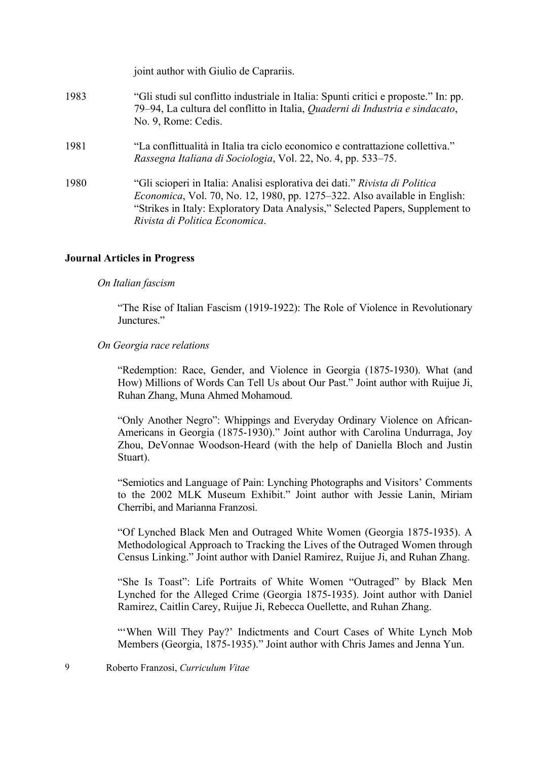|      | joint author with Giulio de Caprariis.                                                                                                                                                                                                                                               |
|------|--------------------------------------------------------------------------------------------------------------------------------------------------------------------------------------------------------------------------------------------------------------------------------------|
| 1983 | "Gli studi sul conflitto industriale in Italia: Spunti critici e proposte." In: pp.<br>79–94, La cultura del conflitto in Italia, Quaderni di Industria e sindacato,<br>No. 9, Rome: Cedis.                                                                                          |
| 1981 | "La conflittualità in Italia tra ciclo economico e contrattazione collettiva."<br>Rassegna Italiana di Sociologia, Vol. 22, No. 4, pp. 533–75.                                                                                                                                       |
| 1980 | "Gli scioperi in Italia: Analisi esplorativa dei dati." Rivista di Politica<br><i>Economica</i> , Vol. 70, No. 12, 1980, pp. 1275–322. Also available in English:<br>"Strikes in Italy: Exploratory Data Analysis," Selected Papers, Supplement to<br>Rivista di Politica Economica. |

### **Journal Articles in Progress**

#### *On Italian fascism*

"The Rise of Italian Fascism (1919-1922): The Role of Violence in Revolutionary Junctures."

#### *On Georgia race relations*

"Redemption: Race, Gender, and Violence in Georgia (1875-1930). What (and How) Millions of Words Can Tell Us about Our Past." Joint author with Ruijue Ji, Ruhan Zhang, Muna Ahmed Mohamoud.

"Only Another Negro": Whippings and Everyday Ordinary Violence on African-Americans in Georgia (1875-1930)." Joint author with Carolina Undurraga, Joy Zhou, DeVonnae Woodson-Heard (with the help of Daniella Bloch and Justin Stuart).

"Semiotics and Language of Pain: Lynching Photographs and Visitors' Comments to the 2002 MLK Museum Exhibit." Joint author with Jessie Lanin, Miriam Cherribi, and Marianna Franzosi.

"Of Lynched Black Men and Outraged White Women (Georgia 1875-1935). A Methodological Approach to Tracking the Lives of the Outraged Women through Census Linking." Joint author with Daniel Ramirez, Ruijue Ji, and Ruhan Zhang.

"She Is Toast": Life Portraits of White Women "Outraged" by Black Men Lynched for the Alleged Crime (Georgia 1875-1935). Joint author with Daniel Ramirez, Caitlin Carey, Ruijue Ji, Rebecca Ouellette, and Ruhan Zhang.

"'When Will They Pay?' Indictments and Court Cases of White Lynch Mob Members (Georgia, 1875-1935)." Joint author with Chris James and Jenna Yun.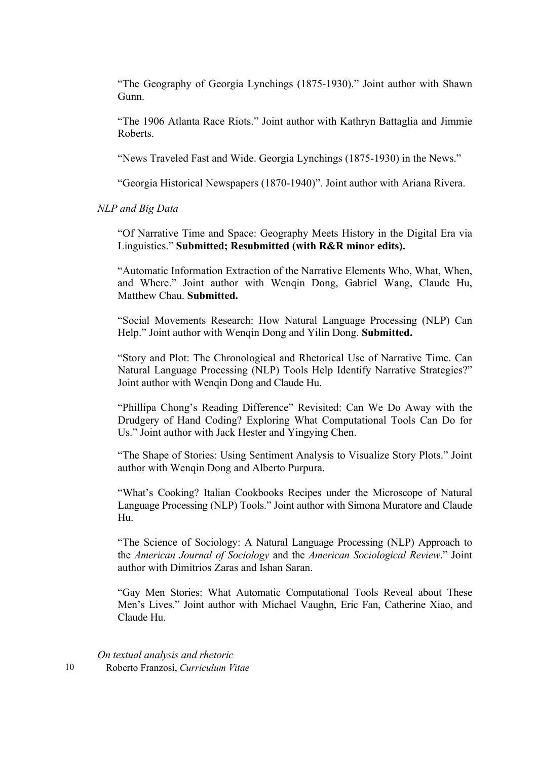"The Geography of Georgia Lynchings (1875-1930)." Joint author with Shawn Gunn.

"The 1906 Atlanta Race Riots." Joint author with Kathryn Battaglia and Jimmie Roberts.

"News Traveled Fast and Wide. Georgia Lynchings (1875-1930) in the News."

"Georgia Historical Newspapers (1870-1940)". Joint author with Ariana Rivera.

*NLP and Big Data*

"Of Narrative Time and Space: Geography Meets History in the Digital Era via Linguistics." **Submitted; Resubmitted (with R&R minor edits).**

"Automatic Information Extraction of the Narrative Elements Who, What, When, and Where." Joint author with Wengin Dong, Gabriel Wang, Claude Hu, Matthew Chau. **Submitted.**

"Social Movements Research: How Natural Language Processing (NLP) Can Help." Joint author with Wenqin Dong and Yilin Dong. **Submitted.**

"Story and Plot: The Chronological and Rhetorical Use of Narrative Time. Can Natural Language Processing (NLP) Tools Help Identify Narrative Strategies?" Joint author with Wenqin Dong and Claude Hu.

"Phillipa Chong's Reading Difference" Revisited: Can We Do Away with the Drudgery of Hand Coding? Exploring What Computational Tools Can Do for Us." Joint author with Jack Hester and Yingying Chen.

"The Shape of Stories: Using Sentiment Analysis to Visualize Story Plots." Joint author with Wenqin Dong and Alberto Purpura.

"What's Cooking? Italian Cookbooks Recipes under the Microscope of Natural Language Processing (NLP) Tools." Joint author with Simona Muratore and Claude Hu.

"The Science of Sociology: A Natural Language Processing (NLP) Approach to the *American Journal of Sociology* and the *American Sociological Review*." Joint author with Dimitrios Zaras and Ishan Saran.

"Gay Men Stories: What Automatic Computational Tools Reveal about These Men's Lives." Joint author with Michael Vaughn, Eric Fan, Catherine Xiao, and Claude Hu.

10 Roberto Franzosi, *Curriculum Vitae On textual analysis and rhetoric*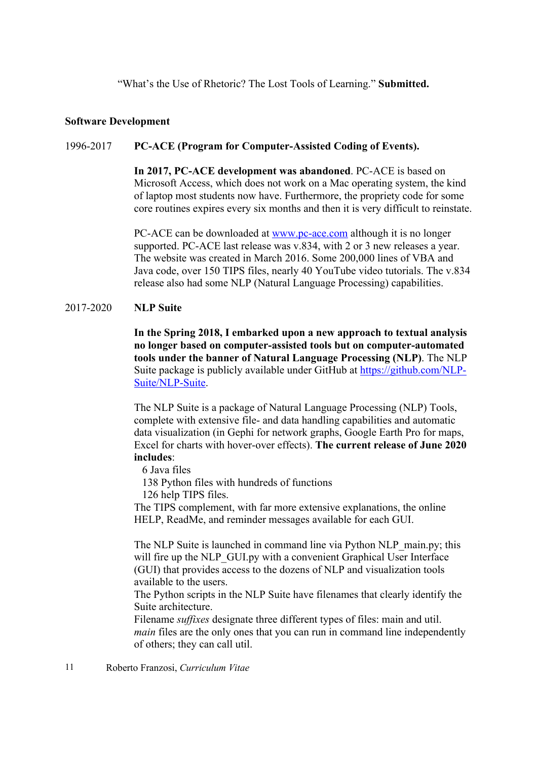"What's the Use of Rhetoric? The Lost Tools of Learning." **Submitted.**

#### **Software Development**

### 1996-2017 **PC-ACE (Program for Computer-Assisted Coding of Events).**

**In 2017, PC-ACE development was abandoned**. PC-ACE is based on Microsoft Access, which does not work on a Mac operating system, the kind of laptop most students now have. Furthermore, the propriety code for some core routines expires every six months and then it is very difficult to reinstate.

PC-ACE can be downloaded at www.pc-ace.com although it is no longer supported. PC-ACE last release was v.834, with 2 or 3 new releases a year. The website was created in March 2016. Some 200,000 lines of VBA and Java code, over 150 TIPS files, nearly 40 YouTube video tutorials. The v.834 release also had some NLP (Natural Language Processing) capabilities.

#### 2017-2020 **NLP Suite**

**In the Spring 2018, I embarked upon a new approach to textual analysis no longer based on computer-assisted tools but on computer-automated tools under the banner of Natural Language Processing (NLP)**. The NLP Suite package is publicly available under GitHub at https://github.com/NLP-Suite/NLP-Suite.

The NLP Suite is a package of Natural Language Processing (NLP) Tools, complete with extensive file- and data handling capabilities and automatic data visualization (in Gephi for network graphs, Google Earth Pro for maps, Excel for charts with hover-over effects). **The current release of June 2020 includes**:

6 Java files

138 Python files with hundreds of functions

126 help TIPS files.

The TIPS complement, with far more extensive explanations, the online HELP, ReadMe, and reminder messages available for each GUI.

The NLP Suite is launched in command line via Python NLP\_main.py; this will fire up the NLP\_GUI.py with a convenient Graphical User Interface (GUI) that provides access to the dozens of NLP and visualization tools available to the users.

The Python scripts in the NLP Suite have filenames that clearly identify the Suite architecture.

Filename *suffixes* designate three different types of files: main and util. *main* files are the only ones that you can run in command line independently of others; they can call util.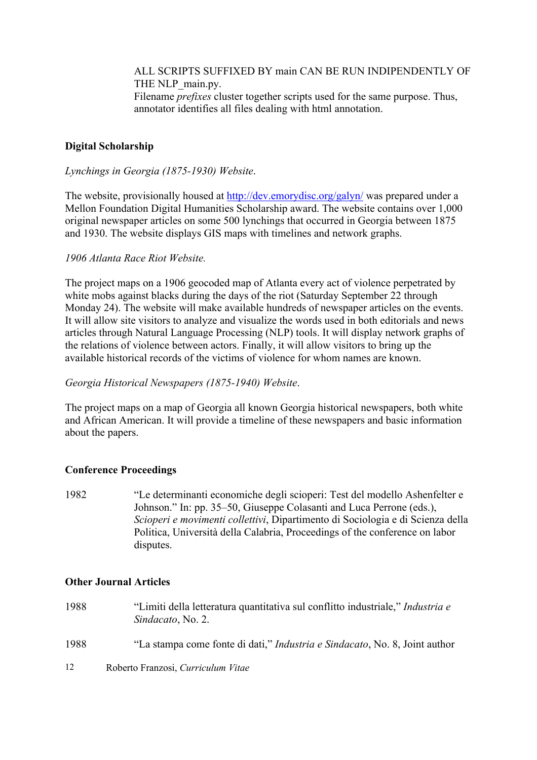ALL SCRIPTS SUFFIXED BY main CAN BE RUN INDIPENDENTLY OF THE NLP\_main.py. Filename *prefixes* cluster together scripts used for the same purpose. Thus, annotator identifies all files dealing with html annotation.

## **Digital Scholarship**

### *Lynchings in Georgia (1875-1930) Website*.

The website, provisionally housed at http://dev.emorydisc.org/galyn/ was prepared under a Mellon Foundation Digital Humanities Scholarship award. The website contains over 1,000 original newspaper articles on some 500 lynchings that occurred in Georgia between 1875 and 1930. The website displays GIS maps with timelines and network graphs.

### *1906 Atlanta Race Riot Website.*

The project maps on a 1906 geocoded map of Atlanta every act of violence perpetrated by white mobs against blacks during the days of the riot (Saturday September 22 through Monday 24). The website will make available hundreds of newspaper articles on the events. It will allow site visitors to analyze and visualize the words used in both editorials and news articles through Natural Language Processing (NLP) tools. It will display network graphs of the relations of violence between actors. Finally, it will allow visitors to bring up the available historical records of the victims of violence for whom names are known.

### *Georgia Historical Newspapers (1875-1940) Website*.

The project maps on a map of Georgia all known Georgia historical newspapers, both white and African American. It will provide a timeline of these newspapers and basic information about the papers.

### **Conference Proceedings**

1982 "Le determinanti economiche degli scioperi: Test del modello Ashenfelter e Johnson." In: pp. 35–50, Giuseppe Colasanti and Luca Perrone (eds.), *Scioperi e movimenti collettivi*, Dipartimento di Sociologia e di Scienza della Politica, Università della Calabria, Proceedings of the conference on labor disputes.

### **Other Journal Articles**

- 1988 "Limiti della letteratura quantitativa sul conflitto industriale," *Industria e Sindacato*, No. 2.
- 1988 "La stampa come fonte di dati," *Industria e Sindacato*, No. 8, Joint author
- 12 Roberto Franzosi, *Curriculum Vitae*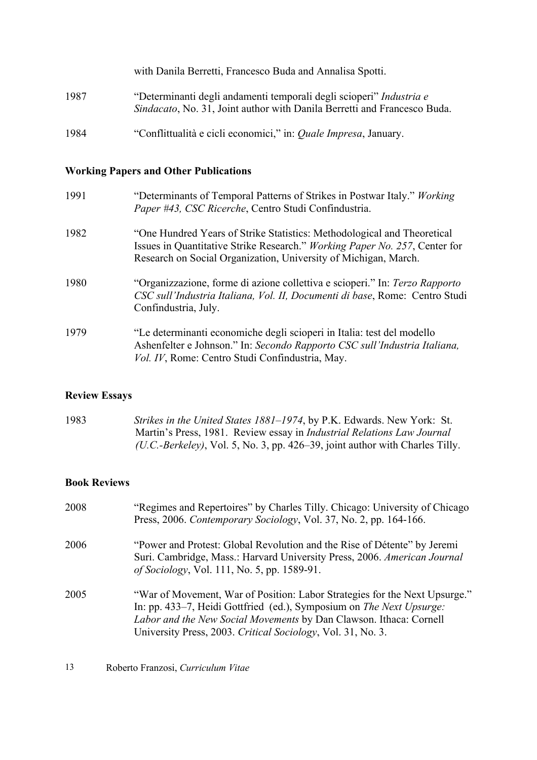|      | with Danila Berretti, Francesco Buda and Annalisa Spotti.                                                                                       |
|------|-------------------------------------------------------------------------------------------------------------------------------------------------|
| 1987 | "Determinanti degli andamenti temporali degli scioperi" Industria e<br>Sindacato, No. 31, Joint author with Danila Berretti and Francesco Buda. |
| 1984 | "Conflittualità e cicli economici," in: <i>Quale Impresa</i> , January.                                                                         |

# **Working Papers and Other Publications**

| 1991 | "Determinants of Temporal Patterns of Strikes in Postwar Italy." Working<br>Paper #43, CSC Ricerche, Centro Studi Confindustria.                                                                                         |
|------|--------------------------------------------------------------------------------------------------------------------------------------------------------------------------------------------------------------------------|
| 1982 | "One Hundred Years of Strike Statistics: Methodological and Theoretical<br>Issues in Quantitative Strike Research." Working Paper No. 257, Center for<br>Research on Social Organization, University of Michigan, March. |
| 1980 | "Organizzazione, forme di azione collettiva e scioperi." In: Terzo Rapporto<br>CSC sull'Industria Italiana, Vol. II, Documenti di base, Rome: Centro Studi<br>Confindustria, July.                                       |
| 1979 | "Le determinanti economiche degli scioperi in Italia: test del modello<br>Ashenfelter e Johnson." In: Secondo Rapporto CSC sull'Industria Italiana,<br>Vol. IV, Rome: Centro Studi Confindustria, May.                   |

# **Review Essays**

| 1983 | Strikes in the United States 1881–1974, by P.K. Edwards. New York: St.          |
|------|---------------------------------------------------------------------------------|
|      | Martin's Press, 1981. Review essay in <i>Industrial Relations Law Journal</i>   |
|      | $(U.C.-Berkeley)$ , Vol. 5, No. 3, pp. 426–39, joint author with Charles Tilly. |

# **Book Reviews**

| 2008 | "Regimes and Repertoires" by Charles Tilly. Chicago: University of Chicago<br>Press, 2006. Contemporary Sociology, Vol. 37, No. 2, pp. 164-166.                                                                                                                                         |
|------|-----------------------------------------------------------------------------------------------------------------------------------------------------------------------------------------------------------------------------------------------------------------------------------------|
| 2006 | "Power and Protest: Global Revolution and the Rise of Détente" by Jeremi<br>Suri. Cambridge, Mass.: Harvard University Press, 2006. American Journal<br><i>of Sociology</i> , Vol. 111, No. 5, pp. 1589-91.                                                                             |
| 2005 | "War of Movement, War of Position: Labor Strategies for the Next Upsurge."<br>In: pp. 433–7, Heidi Gottfried (ed.), Symposium on The Next Upsurge:<br>Labor and the New Social Movements by Dan Clawson. Ithaca: Cornell<br>University Press, 2003. Critical Sociology, Vol. 31, No. 3. |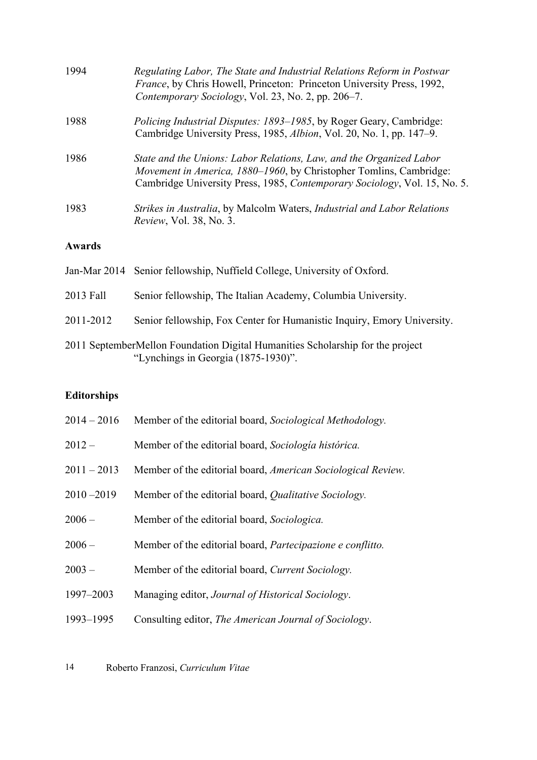| 1994          | Regulating Labor, The State and Industrial Relations Reform in Postwar<br>France, by Chris Howell, Princeton: Princeton University Press, 1992,<br>Contemporary Sociology, Vol. 23, No. 2, pp. 206–7.                          |
|---------------|--------------------------------------------------------------------------------------------------------------------------------------------------------------------------------------------------------------------------------|
| 1988          | <i>Policing Industrial Disputes: 1893–1985</i> , by Roger Geary, Cambridge:<br>Cambridge University Press, 1985, Albion, Vol. 20, No. 1, pp. 147–9.                                                                            |
| 1986          | State and the Unions: Labor Relations, Law, and the Organized Labor<br><i>Movement in America, 1880–1960</i> , by Christopher Tomlins, Cambridge:<br>Cambridge University Press, 1985, Contemporary Sociology, Vol. 15, No. 5. |
| 1983          | Strikes in Australia, by Malcolm Waters, Industrial and Labor Relations<br><i>Review</i> , Vol. 38, No. 3.                                                                                                                     |
| <b>Awards</b> |                                                                                                                                                                                                                                |
|               | Jan-Mar 2014 Senior fellowship, Nuffield College, University of Oxford.                                                                                                                                                        |
| 2013 Fall     | Senior fellowship, The Italian Academy, Columbia University.                                                                                                                                                                   |

2011-2012 Senior fellowship, Fox Center for Humanistic Inquiry, Emory University.

# **Editorships**

| $2014 - 2016$ | Member of the editorial board, Sociological Methodology.     |
|---------------|--------------------------------------------------------------|
| $2012 -$      | Member of the editorial board, Sociología histórica.         |
| $2011 - 2013$ | Member of the editorial board, American Sociological Review. |
| $2010 - 2019$ | Member of the editorial board, Qualitative Sociology.        |
| $2006 -$      | Member of the editorial board, Sociologica.                  |
| $2006 -$      | Member of the editorial board, Partecipazione e conflitto.   |
| $2003 -$      | Member of the editorial board, Current Sociology.            |
| 1997-2003     | Managing editor, Journal of Historical Sociology.            |
| 1993-1995     | Consulting editor, The American Journal of Sociology.        |
|               |                                                              |

<sup>2011</sup> SeptemberMellon Foundation Digital Humanities Scholarship for the project "Lynchings in Georgia (1875-1930)".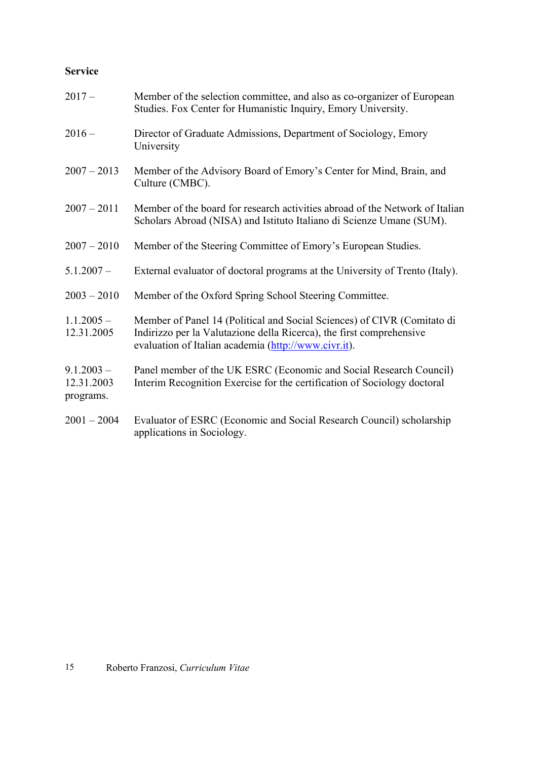# **Service**

| $2017 -$                                | Member of the selection committee, and also as co-organizer of European<br>Studies. Fox Center for Humanistic Inquiry, Emory University.                                                                |
|-----------------------------------------|---------------------------------------------------------------------------------------------------------------------------------------------------------------------------------------------------------|
| $2016 -$                                | Director of Graduate Admissions, Department of Sociology, Emory<br>University                                                                                                                           |
| $2007 - 2013$                           | Member of the Advisory Board of Emory's Center for Mind, Brain, and<br>Culture (CMBC).                                                                                                                  |
| $2007 - 2011$                           | Member of the board for research activities abroad of the Network of Italian<br>Scholars Abroad (NISA) and Istituto Italiano di Scienze Umane (SUM).                                                    |
| $2007 - 2010$                           | Member of the Steering Committee of Emory's European Studies.                                                                                                                                           |
| $5.1.2007 -$                            | External evaluator of doctoral programs at the University of Trento (Italy).                                                                                                                            |
| $2003 - 2010$                           | Member of the Oxford Spring School Steering Committee.                                                                                                                                                  |
| $1.1.2005 -$<br>12.31.2005              | Member of Panel 14 (Political and Social Sciences) of CIVR (Comitato di<br>Indirizzo per la Valutazione della Ricerca), the first comprehensive<br>evaluation of Italian academia (http://www.civr.it). |
| $9.1.2003 -$<br>12.31.2003<br>programs. | Panel member of the UK ESRC (Economic and Social Research Council)<br>Interim Recognition Exercise for the certification of Sociology doctoral                                                          |
| $2001 - 2004$                           | Evaluator of ESRC (Economic and Social Research Council) scholarship<br>applications in Sociology.                                                                                                      |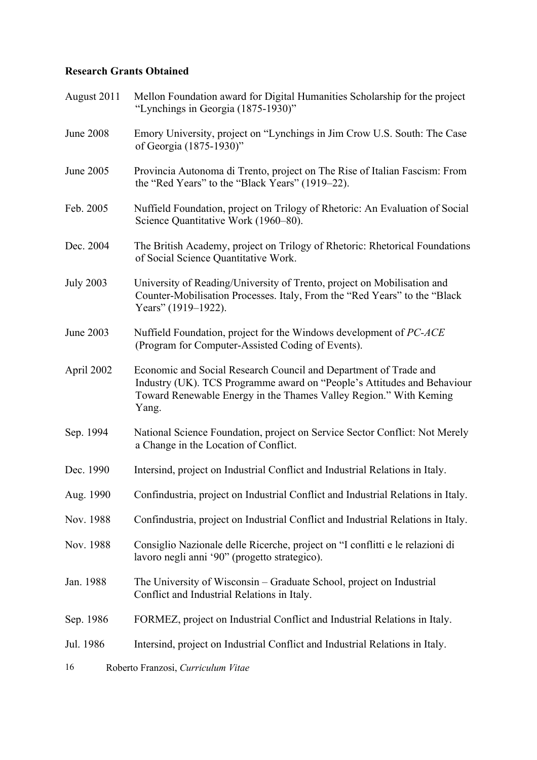# **Research Grants Obtained**

| August 2011      | Mellon Foundation award for Digital Humanities Scholarship for the project<br>"Lynchings in Georgia (1875-1930)"                                                                                                          |
|------------------|---------------------------------------------------------------------------------------------------------------------------------------------------------------------------------------------------------------------------|
| <b>June 2008</b> | Emory University, project on "Lynchings in Jim Crow U.S. South: The Case<br>of Georgia (1875-1930)"                                                                                                                       |
| June 2005        | Provincia Autonoma di Trento, project on The Rise of Italian Fascism: From<br>the "Red Years" to the "Black Years" (1919-22).                                                                                             |
| Feb. 2005        | Nuffield Foundation, project on Trilogy of Rhetoric: An Evaluation of Social<br>Science Quantitative Work (1960–80).                                                                                                      |
| Dec. 2004        | The British Academy, project on Trilogy of Rhetoric: Rhetorical Foundations<br>of Social Science Quantitative Work.                                                                                                       |
| <b>July 2003</b> | University of Reading/University of Trento, project on Mobilisation and<br>Counter-Mobilisation Processes. Italy, From the "Red Years" to the "Black<br>Years" (1919–1922).                                               |
| June 2003        | Nuffield Foundation, project for the Windows development of PC-ACE<br>(Program for Computer-Assisted Coding of Events).                                                                                                   |
| April 2002       | Economic and Social Research Council and Department of Trade and<br>Industry (UK). TCS Programme award on "People's Attitudes and Behaviour<br>Toward Renewable Energy in the Thames Valley Region." With Keming<br>Yang. |
| Sep. 1994        | National Science Foundation, project on Service Sector Conflict: Not Merely<br>a Change in the Location of Conflict.                                                                                                      |
| Dec. 1990        | Intersind, project on Industrial Conflict and Industrial Relations in Italy.                                                                                                                                              |
| Aug. 1990        | Confindustria, project on Industrial Conflict and Industrial Relations in Italy.                                                                                                                                          |
| Nov. 1988        | Confindustria, project on Industrial Conflict and Industrial Relations in Italy.                                                                                                                                          |
| Nov. 1988        | Consiglio Nazionale delle Ricerche, project on "I conflitti e le relazioni di<br>lavoro negli anni '90" (progetto strategico).                                                                                            |
| Jan. 1988        | The University of Wisconsin – Graduate School, project on Industrial<br>Conflict and Industrial Relations in Italy.                                                                                                       |
| Sep. 1986        | FORMEZ, project on Industrial Conflict and Industrial Relations in Italy.                                                                                                                                                 |
| Jul. 1986        | Intersind, project on Industrial Conflict and Industrial Relations in Italy.                                                                                                                                              |
| 16               | Roberto Franzosi, Curriculum Vitae                                                                                                                                                                                        |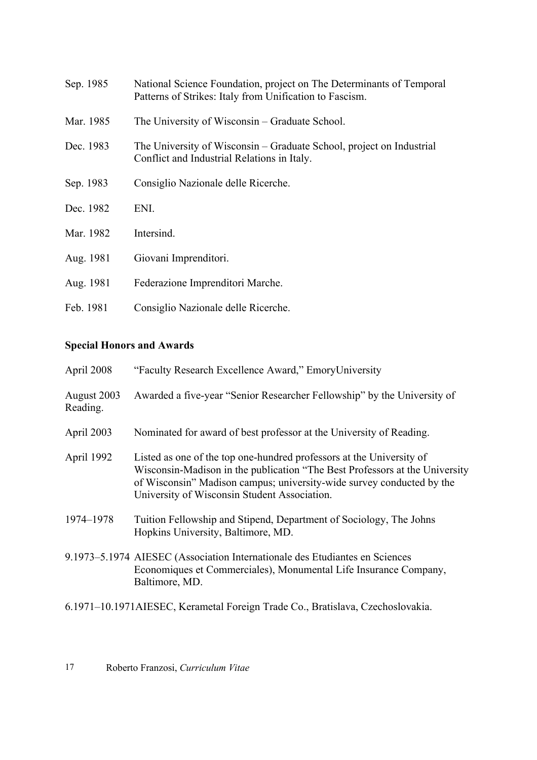| Sep. 1985 | National Science Foundation, project on The Determinants of Temporal<br>Patterns of Strikes: Italy from Unification to Fascism. |
|-----------|---------------------------------------------------------------------------------------------------------------------------------|
| Mar. 1985 | The University of Wisconsin – Graduate School.                                                                                  |
| Dec. 1983 | The University of Wisconsin – Graduate School, project on Industrial<br>Conflict and Industrial Relations in Italy.             |
| Sep. 1983 | Consiglio Nazionale delle Ricerche.                                                                                             |
| Dec. 1982 | ENI.                                                                                                                            |
| Mar. 1982 | Intersind.                                                                                                                      |
| Aug. 1981 | Giovani Imprenditori.                                                                                                           |
| Aug. 1981 | Federazione Imprenditori Marche.                                                                                                |
| Feb. 1981 | Consiglio Nazionale delle Ricerche.                                                                                             |

# **Special Honors and Awards**

| April 2008              | "Faculty Research Excellence Award," EmoryUniversity                                                                                                                                                                                                                         |
|-------------------------|------------------------------------------------------------------------------------------------------------------------------------------------------------------------------------------------------------------------------------------------------------------------------|
| August 2003<br>Reading. | Awarded a five-year "Senior Researcher Fellowship" by the University of                                                                                                                                                                                                      |
| April 2003              | Nominated for award of best professor at the University of Reading.                                                                                                                                                                                                          |
| April 1992              | Listed as one of the top one-hundred professors at the University of<br>Wisconsin-Madison in the publication "The Best Professors at the University<br>of Wisconsin" Madison campus; university-wide survey conducted by the<br>University of Wisconsin Student Association. |
| 1974-1978               | Tuition Fellowship and Stipend, Department of Sociology, The Johns<br>Hopkins University, Baltimore, MD.                                                                                                                                                                     |
|                         | 9.1973–5.1974 AIESEC (Association Internationale des Etudiantes en Sciences<br>Economiques et Commerciales), Monumental Life Insurance Company,<br>Baltimore, MD.                                                                                                            |
|                         | 6.1971–10.1971AIESEC, Kerametal Foreign Trade Co., Bratislava, Czechoslovakia.                                                                                                                                                                                               |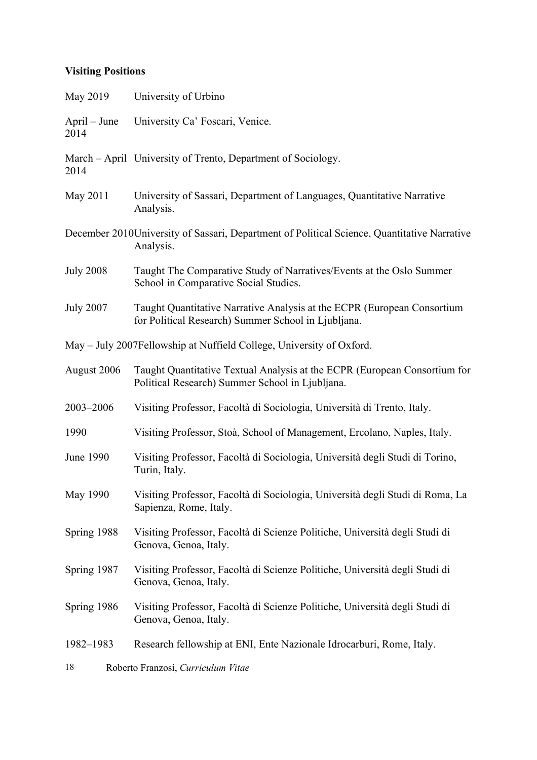# **Visiting Positions**

| May 2019               | University of Urbino                                                                                                           |
|------------------------|--------------------------------------------------------------------------------------------------------------------------------|
| $April - June$<br>2014 | University Ca' Foscari, Venice.                                                                                                |
| 2014                   | March – April University of Trento, Department of Sociology.                                                                   |
| May 2011               | University of Sassari, Department of Languages, Quantitative Narrative<br>Analysis.                                            |
|                        | December 2010 University of Sassari, Department of Political Science, Quantitative Narrative<br>Analysis.                      |
| <b>July 2008</b>       | Taught The Comparative Study of Narratives/Events at the Oslo Summer<br>School in Comparative Social Studies.                  |
| <b>July 2007</b>       | Taught Quantitative Narrative Analysis at the ECPR (European Consortium<br>for Political Research) Summer School in Ljubljana. |
|                        | May – July 2007Fellowship at Nuffield College, University of Oxford.                                                           |
| August 2006            | Taught Quantitative Textual Analysis at the ECPR (European Consortium for<br>Political Research) Summer School in Ljubljana.   |
| 2003-2006              | Visiting Professor, Facoltà di Sociologia, Università di Trento, Italy.                                                        |
| 1990                   | Visiting Professor, Stoà, School of Management, Ercolano, Naples, Italy.                                                       |
| <b>June 1990</b>       | Visiting Professor, Facoltà di Sociologia, Università degli Studi di Torino,<br>Turin, Italy.                                  |
| May 1990               | Visiting Professor, Facoltà di Sociologia, Università degli Studi di Roma, La<br>Sapienza, Rome, Italy.                        |
| Spring 1988            | Visiting Professor, Facoltà di Scienze Politiche, Università degli Studi di<br>Genova, Genoa, Italy.                           |
| Spring 1987            | Visiting Professor, Facoltà di Scienze Politiche, Università degli Studi di<br>Genova, Genoa, Italy.                           |
| Spring 1986            | Visiting Professor, Facoltà di Scienze Politiche, Università degli Studi di<br>Genova, Genoa, Italy.                           |
| 1982-1983              | Research fellowship at ENI, Ente Nazionale Idrocarburi, Rome, Italy.                                                           |
| 18                     | Roberto Franzosi, Curriculum Vitae                                                                                             |
|                        |                                                                                                                                |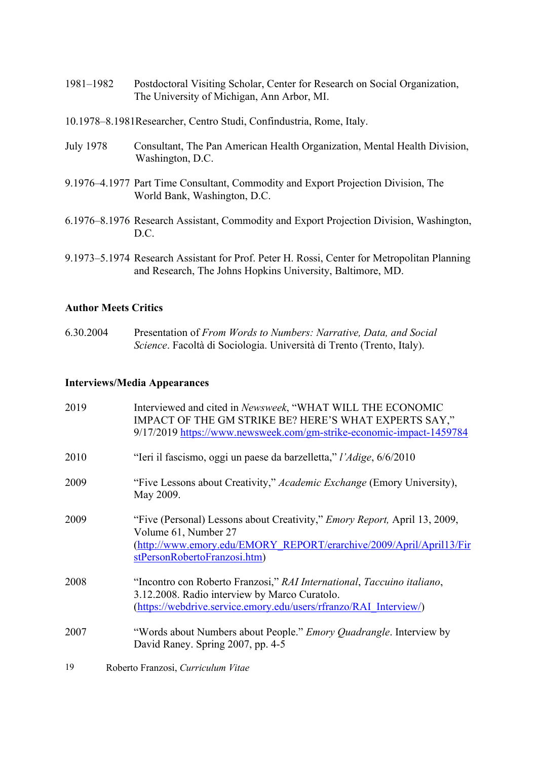- 1981–1982 Postdoctoral Visiting Scholar, Center for Research on Social Organization, The University of Michigan, Ann Arbor, MI.
- 10.1978–8.1981Researcher, Centro Studi, Confindustria, Rome, Italy.
- July 1978 Consultant, The Pan American Health Organization, Mental Health Division, Washington, D.C.
- 9.1976–4.1977 Part Time Consultant, Commodity and Export Projection Division, The World Bank, Washington, D.C.
- 6.1976–8.1976 Research Assistant, Commodity and Export Projection Division, Washington, D.C.
- 9.1973–5.1974 Research Assistant for Prof. Peter H. Rossi, Center for Metropolitan Planning and Research, The Johns Hopkins University, Baltimore, MD.

### **Author Meets Critics**

6.30.2004 Presentation of *From Words to Numbers: Narrative, Data, and Social Science*. Facoltà di Sociologia. Università di Trento (Trento, Italy).

### **Interviews/Media Appearances**

| 2019 | Interviewed and cited in Newsweek, "WHAT WILL THE ECONOMIC<br>IMPACT OF THE GM STRIKE BE? HERE'S WHAT EXPERTS SAY,"<br>9/17/2019 https://www.newsweek.com/gm-strike-economic-impact-1459784                      |
|------|------------------------------------------------------------------------------------------------------------------------------------------------------------------------------------------------------------------|
| 2010 | "Ieri il fascismo, oggi un paese da barzelletta," l'Adige, 6/6/2010                                                                                                                                              |
| 2009 | "Five Lessons about Creativity," Academic Exchange (Emory University),<br>May 2009.                                                                                                                              |
| 2009 | "Five (Personal) Lessons about Creativity," <i>Emory Report</i> , April 13, 2009,<br>Volume 61, Number 27<br>(http://www.emory.edu/EMORY REPORT/erarchive/2009/April/April13/Fir<br>stPersonRobertoFranzosi.htm) |
| 2008 | "Incontro con Roberto Franzosi," RAI International, Taccuino italiano,<br>3.12.2008. Radio interview by Marco Curatolo.<br>(https://webdrive.service.emory.edu/users/rfranzo/RAI Interview/)                     |
| 2007 | "Words about Numbers about People." <i>Emory Quadrangle</i> . Interview by<br>David Raney. Spring 2007, pp. 4-5                                                                                                  |
| 19   | Roberto Franzosi, Curriculum Vitae                                                                                                                                                                               |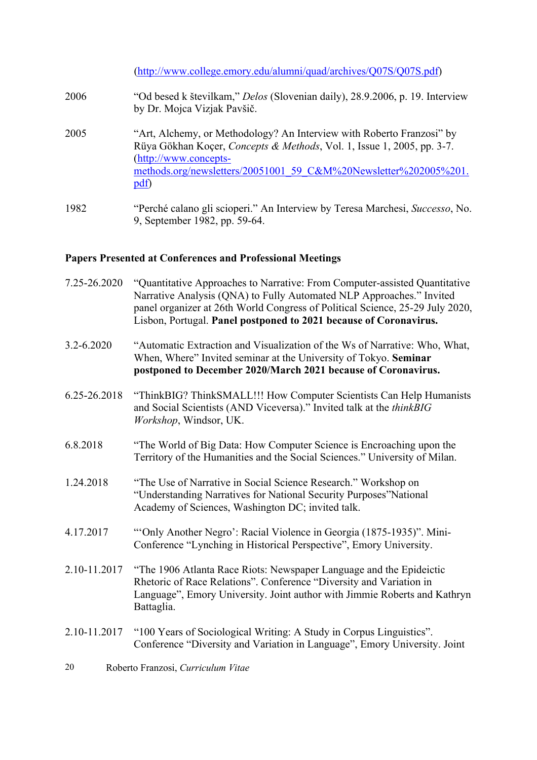|      | (http://www.college.emory.edu/alumni/quad/archives/Q07S/Q07S.pdf)                                                                                                                                                                                                         |
|------|---------------------------------------------------------------------------------------------------------------------------------------------------------------------------------------------------------------------------------------------------------------------------|
| 2006 | "Od besed k številkam," Delos (Slovenian daily), 28.9.2006, p. 19. Interview<br>by Dr. Mojca Vizjak Pavšič.                                                                                                                                                               |
| 2005 | "Art, Alchemy, or Methodology? An Interview with Roberto Franzosi" by<br>Rüya Gökhan Koçer, Concepts & Methods, Vol. 1, Issue 1, 2005, pp. 3-7.<br>$(htp://www.concepts-$<br>methods.org/newsletters/20051001 59 C&M%20Newsletter%202005%201.<br>$\underline{\text{pdf}}$ |
| 1982 | "Perché calano gli scioperi." An Interview by Teresa Marchesi, Successo, No.<br>9, September 1982, pp. 59-64.                                                                                                                                                             |

# **Papers Presented at Conferences and Professional Meetings**

| 7.25-26.2020                             | "Quantitative Approaches to Narrative: From Computer-assisted Quantitative<br>Narrative Analysis (QNA) to Fully Automated NLP Approaches." Invited<br>panel organizer at 26th World Congress of Political Science, 25-29 July 2020,<br>Lisbon, Portugal. Panel postponed to 2021 because of Coronavirus. |
|------------------------------------------|----------------------------------------------------------------------------------------------------------------------------------------------------------------------------------------------------------------------------------------------------------------------------------------------------------|
| 3.2-6.2020                               | "Automatic Extraction and Visualization of the Ws of Narrative: Who, What,<br>When, Where" Invited seminar at the University of Tokyo. Seminar<br>postponed to December 2020/March 2021 because of Coronavirus.                                                                                          |
| 6.25-26.2018                             | "ThinkBIG? ThinkSMALL!!! How Computer Scientists Can Help Humanists<br>and Social Scientists (AND Viceversa)." Invited talk at the thinkBIG<br>Workshop, Windsor, UK.                                                                                                                                    |
| 6.8.2018                                 | "The World of Big Data: How Computer Science is Encroaching upon the<br>Territory of the Humanities and the Social Sciences." University of Milan.                                                                                                                                                       |
| 1.24.2018                                | "The Use of Narrative in Social Science Research." Workshop on<br>"Understanding Narratives for National Security Purposes" National<br>Academy of Sciences, Washington DC; invited talk.                                                                                                                |
| 4.17.2017                                | "Only Another Negro': Racial Violence in Georgia (1875-1935)". Mini-<br>Conference "Lynching in Historical Perspective", Emory University.                                                                                                                                                               |
| 2.10-11.2017                             | "The 1906 Atlanta Race Riots: Newspaper Language and the Epideictic<br>Rhetoric of Race Relations". Conference "Diversity and Variation in<br>Language", Emory University. Joint author with Jimmie Roberts and Kathryn<br>Battaglia.                                                                    |
| 2.10-11.2017                             | "100 Years of Sociological Writing: A Study in Corpus Linguistics".<br>Conference "Diversity and Variation in Language", Emory University. Joint                                                                                                                                                         |
| Roberto Franzosi, Curriculum Vitae<br>20 |                                                                                                                                                                                                                                                                                                          |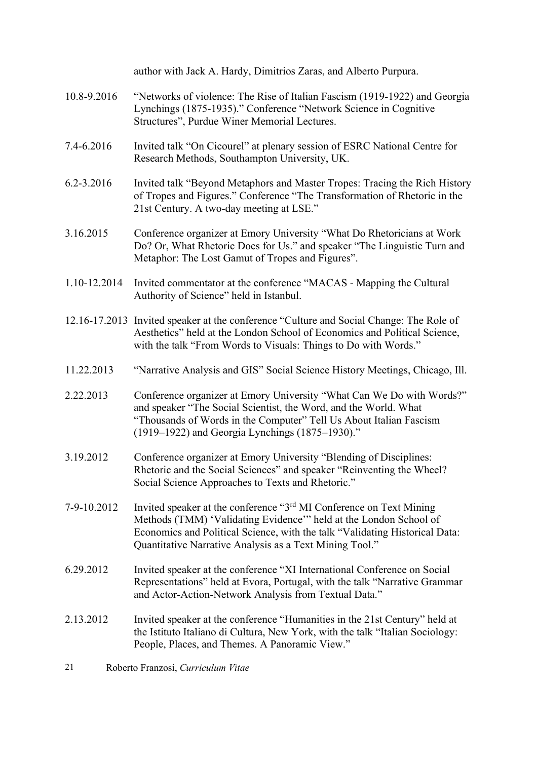|              | author with Jack A. Hardy, Dimitrios Zaras, and Alberto Purpura.                                                                                                                                                                                                                               |  |  |
|--------------|------------------------------------------------------------------------------------------------------------------------------------------------------------------------------------------------------------------------------------------------------------------------------------------------|--|--|
| 10.8-9.2016  | "Networks of violence: The Rise of Italian Fascism (1919-1922) and Georgia<br>Lynchings (1875-1935)." Conference "Network Science in Cognitive<br>Structures", Purdue Winer Memorial Lectures.                                                                                                 |  |  |
| 7.4-6.2016   | Invited talk "On Cicourel" at plenary session of ESRC National Centre for<br>Research Methods, Southampton University, UK.                                                                                                                                                                     |  |  |
| 6.2-3.2016   | Invited talk "Beyond Metaphors and Master Tropes: Tracing the Rich History<br>of Tropes and Figures." Conference "The Transformation of Rhetoric in the<br>21st Century. A two-day meeting at LSE."                                                                                            |  |  |
| 3.16.2015    | Conference organizer at Emory University "What Do Rhetoricians at Work<br>Do? Or, What Rhetoric Does for Us." and speaker "The Linguistic Turn and<br>Metaphor: The Lost Gamut of Tropes and Figures".                                                                                         |  |  |
| 1.10-12.2014 | Invited commentator at the conference "MACAS - Mapping the Cultural<br>Authority of Science" held in Istanbul.                                                                                                                                                                                 |  |  |
|              | 12.16-17.2013 Invited speaker at the conference "Culture and Social Change: The Role of<br>Aesthetics" held at the London School of Economics and Political Science,<br>with the talk "From Words to Visuals: Things to Do with Words."                                                        |  |  |
| 11.22.2013   | "Narrative Analysis and GIS" Social Science History Meetings, Chicago, Ill.                                                                                                                                                                                                                    |  |  |
| 2.22.2013    | Conference organizer at Emory University "What Can We Do with Words?"<br>and speaker "The Social Scientist, the Word, and the World. What<br>"Thousands of Words in the Computer" Tell Us About Italian Fascism<br>(1919–1922) and Georgia Lynchings (1875–1930)."                             |  |  |
| 3.19.2012    | Conference organizer at Emory University "Blending of Disciplines:<br>Rhetoric and the Social Sciences" and speaker "Reinventing the Wheel?<br>Social Science Approaches to Texts and Rhetoric."                                                                                               |  |  |
| 7-9-10.2012  | Invited speaker at the conference "3 <sup>rd</sup> MI Conference on Text Mining<br>Methods (TMM) 'Validating Evidence'" held at the London School of<br>Economics and Political Science, with the talk "Validating Historical Data:<br>Quantitative Narrative Analysis as a Text Mining Tool." |  |  |
| 6.29.2012    | Invited speaker at the conference "XI International Conference on Social<br>Representations" held at Evora, Portugal, with the talk "Narrative Grammar<br>and Actor-Action-Network Analysis from Textual Data."                                                                                |  |  |
| 2.13.2012    | Invited speaker at the conference "Humanities in the 21st Century" held at<br>the Istituto Italiano di Cultura, New York, with the talk "Italian Sociology:<br>People, Places, and Themes. A Panoramic View."                                                                                  |  |  |
| 21           | Roberto Franzosi, Curriculum Vitae                                                                                                                                                                                                                                                             |  |  |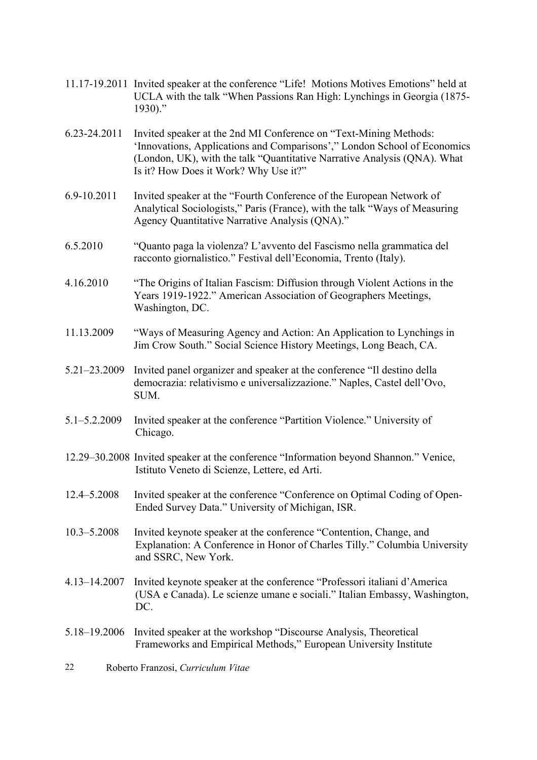- 11.17-19.2011 Invited speaker at the conference "Life! Motions Motives Emotions" held at UCLA with the talk "When Passions Ran High: Lynchings in Georgia (1875- 1930)."
- 6.23-24.2011 Invited speaker at the 2nd MI Conference on "Text-Mining Methods: 'Innovations, Applications and Comparisons'," London School of Economics (London, UK), with the talk "Quantitative Narrative Analysis (QNA). What Is it? How Does it Work? Why Use it?"
- 6.9-10.2011 Invited speaker at the "Fourth Conference of the European Network of Analytical Sociologists," Paris (France), with the talk "Ways of Measuring Agency Quantitative Narrative Analysis (QNA)."
- 6.5.2010 "Quanto paga la violenza? L'avvento del Fascismo nella grammatica del racconto giornalistico." Festival dell'Economia, Trento (Italy).
- 4.16.2010 "The Origins of Italian Fascism: Diffusion through Violent Actions in the Years 1919-1922." American Association of Geographers Meetings, Washington, DC.
- 11.13.2009 "Ways of Measuring Agency and Action: An Application to Lynchings in Jim Crow South." Social Science History Meetings, Long Beach, CA.
- 5.21–23.2009 Invited panel organizer and speaker at the conference "Il destino della democrazia: relativismo e universalizzazione." Naples, Castel dell'Ovo, SUM.
- 5.1–5.2.2009 Invited speaker at the conference "Partition Violence." University of Chicago.
- 12.29–30.2008 Invited speaker at the conference "Information beyond Shannon." Venice, Istituto Veneto di Scienze, Lettere, ed Arti.
- 12.4–5.2008 Invited speaker at the conference "Conference on Optimal Coding of Open-Ended Survey Data." University of Michigan, ISR.
- 10.3–5.2008 Invited keynote speaker at the conference "Contention, Change, and Explanation: A Conference in Honor of Charles Tilly." Columbia University and SSRC, New York.
- 4.13–14.2007 Invited keynote speaker at the conference "Professori italiani d'America (USA e Canada). Le scienze umane e sociali." Italian Embassy, Washington, DC.
- 5.18–19.2006 Invited speaker at the workshop "Discourse Analysis, Theoretical Frameworks and Empirical Methods," European University Institute
- 22 Roberto Franzosi, *Curriculum Vitae*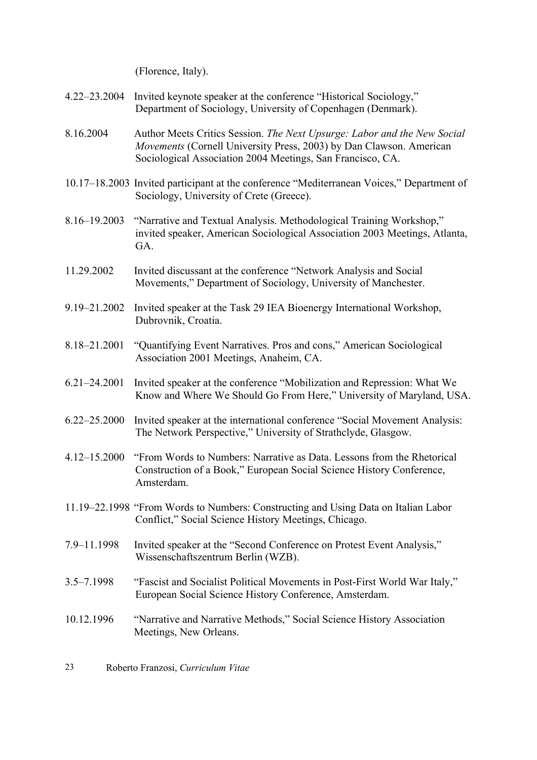(Florence, Italy).

- 4.22–23.2004 Invited keynote speaker at the conference "Historical Sociology," Department of Sociology, University of Copenhagen (Denmark).
- 8.16.2004 Author Meets Critics Session. *The Next Upsurge: Labor and the New Social Movements* (Cornell University Press, 2003) by Dan Clawson. American Sociological Association 2004 Meetings, San Francisco, CA.
- 10.17–18.2003 Invited participant at the conference "Mediterranean Voices," Department of Sociology, University of Crete (Greece).
- 8.16–19.2003 "Narrative and Textual Analysis. Methodological Training Workshop," invited speaker, American Sociological Association 2003 Meetings, Atlanta, GA.
- 11.29.2002 Invited discussant at the conference "Network Analysis and Social Movements," Department of Sociology, University of Manchester.
- 9.19–21.2002 Invited speaker at the Task 29 IEA Bioenergy International Workshop, Dubrovnik, Croatia.
- 8.18–21.2001 "Quantifying Event Narratives. Pros and cons," American Sociological Association 2001 Meetings, Anaheim, CA.
- 6.21–24.2001 Invited speaker at the conference "Mobilization and Repression: What We Know and Where We Should Go From Here," University of Maryland, USA.
- 6.22–25.2000 Invited speaker at the international conference "Social Movement Analysis: The Network Perspective," University of Strathclyde, Glasgow.
- 4.12–15.2000 "From Words to Numbers: Narrative as Data. Lessons from the Rhetorical Construction of a Book," European Social Science History Conference, Amsterdam.
- 11.19–22.1998 "From Words to Numbers: Constructing and Using Data on Italian Labor Conflict," Social Science History Meetings, Chicago.
- 7.9–11.1998 Invited speaker at the "Second Conference on Protest Event Analysis," Wissenschaftszentrum Berlin (WZB).
- 3.5–7.1998 "Fascist and Socialist Political Movements in Post-First World War Italy," European Social Science History Conference, Amsterdam.
- 10.12.1996 "Narrative and Narrative Methods," Social Science History Association Meetings, New Orleans.
- 23 Roberto Franzosi, *Curriculum Vitae*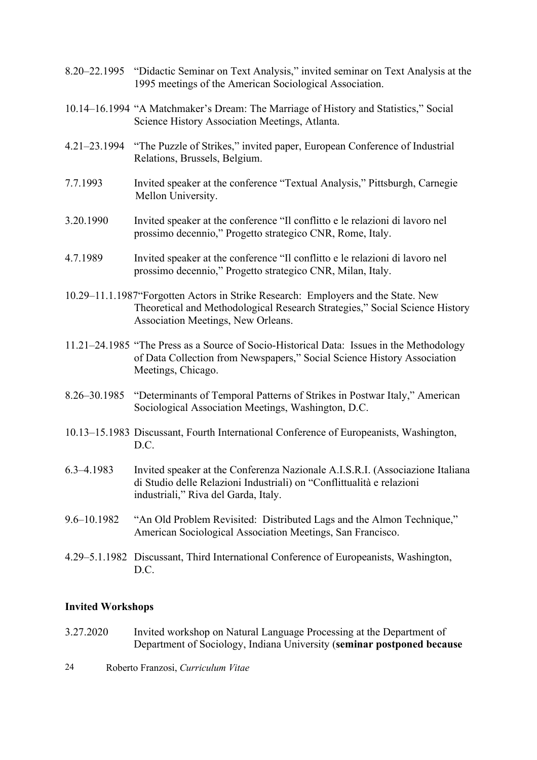|              | 8.20–22.1995 "Didactic Seminar on Text Analysis," invited seminar on Text Analysis at the<br>1995 meetings of the American Sociological Association.                                                      |  |
|--------------|-----------------------------------------------------------------------------------------------------------------------------------------------------------------------------------------------------------|--|
|              | 10.14–16.1994 "A Matchmaker's Dream: The Marriage of History and Statistics," Social<br>Science History Association Meetings, Atlanta.                                                                    |  |
| 4.21–23.1994 | "The Puzzle of Strikes," invited paper, European Conference of Industrial<br>Relations, Brussels, Belgium.                                                                                                |  |
| 7.7.1993     | Invited speaker at the conference "Textual Analysis," Pittsburgh, Carnegie<br>Mellon University.                                                                                                          |  |
| 3.20.1990    | Invited speaker at the conference "Il conflitto e le relazioni di lavoro nel<br>prossimo decennio," Progetto strategico CNR, Rome, Italy.                                                                 |  |
| 4.7.1989     | Invited speaker at the conference "Il conflitto e le relazioni di lavoro nel<br>prossimo decennio," Progetto strategico CNR, Milan, Italy.                                                                |  |
|              | 10.29–11.1.1987 Forgotten Actors in Strike Research: Employers and the State. New<br>Theoretical and Methodological Research Strategies," Social Science History<br>Association Meetings, New Orleans.    |  |
|              | 11.21–24.1985 "The Press as a Source of Socio-Historical Data: Issues in the Methodology<br>of Data Collection from Newspapers," Social Science History Association<br>Meetings, Chicago.                 |  |
|              | 8.26–30.1985 "Determinants of Temporal Patterns of Strikes in Postwar Italy," American<br>Sociological Association Meetings, Washington, D.C.                                                             |  |
|              | 10.13-15.1983 Discussant, Fourth International Conference of Europeanists, Washington,<br>D.C.                                                                                                            |  |
|              | 6.3–4.1983 Invited speaker at the Conferenza Nazionale A.I.S.R.I. (Associazione Italiana<br>di Studio delle Relazioni Industriali) on "Conflittualità e relazioni<br>industriali," Riva del Garda, Italy. |  |
| 9.6-10.1982  | "An Old Problem Revisited: Distributed Lags and the Almon Technique,"<br>American Sociological Association Meetings, San Francisco.                                                                       |  |
|              | 4.29–5.1.1982 Discussant, Third International Conference of Europeanists, Washington,<br>D.C.                                                                                                             |  |
|              |                                                                                                                                                                                                           |  |

# **Invited Workshops**

- 3.27.2020 Invited workshop on Natural Language Processing at the Department of Department of Sociology, Indiana University (**seminar postponed because**
- 24 Roberto Franzosi, *Curriculum Vitae*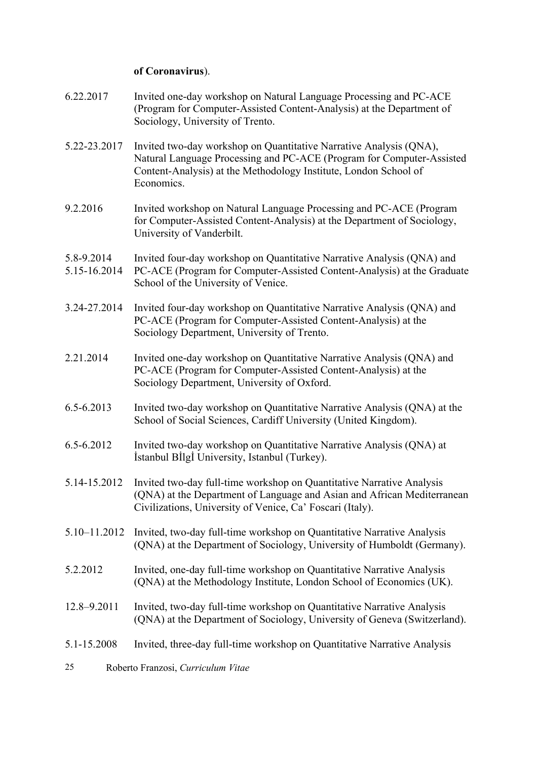### **of Coronavirus**).

- 6.22.2017 Invited one-day workshop on Natural Language Processing and PC-ACE (Program for Computer-Assisted Content-Analysis) at the Department of Sociology, University of Trento.
- 5.22-23.2017 Invited two-day workshop on Quantitative Narrative Analysis (QNA), Natural Language Processing and PC-ACE (Program for Computer-Assisted Content-Analysis) at the Methodology Institute, London School of Economics.
- 9.2.2016 Invited workshop on Natural Language Processing and PC-ACE (Program for Computer-Assisted Content-Analysis) at the Department of Sociology, University of Vanderbilt.
- 5.8-9.2014 Invited four-day workshop on Quantitative Narrative Analysis (QNA) and
- 5.15-16.2014 PC-ACE (Program for Computer-Assisted Content-Analysis) at the Graduate School of the University of Venice.
- 3.24-27.2014 Invited four-day workshop on Quantitative Narrative Analysis (QNA) and PC-ACE (Program for Computer-Assisted Content-Analysis) at the Sociology Department, University of Trento.
- 2.21.2014 Invited one-day workshop on Quantitative Narrative Analysis (QNA) and PC-ACE (Program for Computer-Assisted Content-Analysis) at the Sociology Department, University of Oxford.
- 6.5-6.2013 Invited two-day workshop on Quantitative Narrative Analysis (QNA) at the School of Social Sciences, Cardiff University (United Kingdom).
- 6.5-6.2012 Invited two-day workshop on Quantitative Narrative Analysis (QNA) at İstanbul Bİlgİ University, Istanbul (Turkey).
- 5.14-15.2012 Invited two-day full-time workshop on Quantitative Narrative Analysis (QNA) at the Department of Language and Asian and African Mediterranean Civilizations, University of Venice, Ca' Foscari (Italy).
- 5.10–11.2012 Invited, two-day full-time workshop on Quantitative Narrative Analysis (QNA) at the Department of Sociology, University of Humboldt (Germany).
- 5.2.2012 Invited, one-day full-time workshop on Quantitative Narrative Analysis (QNA) at the Methodology Institute, London School of Economics (UK).
- 12.8–9.2011 Invited, two-day full-time workshop on Quantitative Narrative Analysis (QNA) at the Department of Sociology, University of Geneva (Switzerland).
- 5.1-15.2008 Invited, three-day full-time workshop on Quantitative Narrative Analysis
- 25 Roberto Franzosi, *Curriculum Vitae*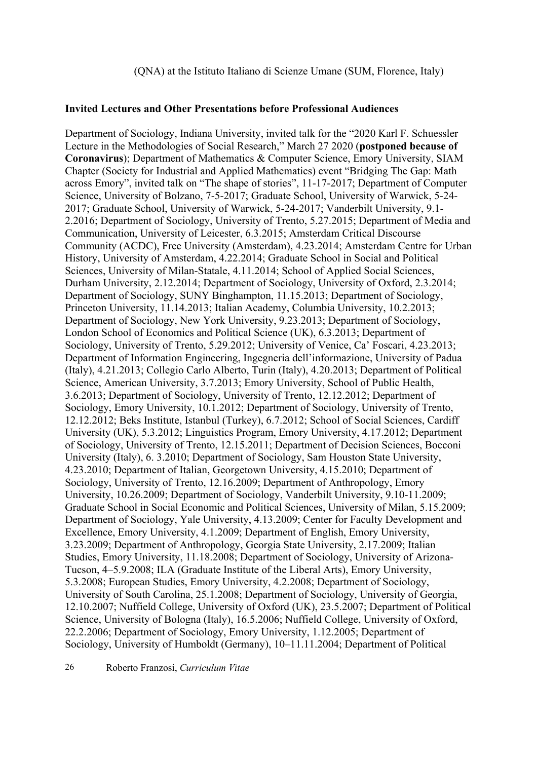#### **Invited Lectures and Other Presentations before Professional Audiences**

Department of Sociology, Indiana University, invited talk for the "2020 Karl F. Schuessler Lecture in the Methodologies of Social Research," March 27 2020 (**postponed because of Coronavirus**); Department of Mathematics & Computer Science, Emory University, SIAM Chapter (Society for Industrial and Applied Mathematics) event "Bridging The Gap: Math across Emory", invited talk on "The shape of stories", 11-17-2017; Department of Computer Science, University of Bolzano, 7-5-2017; Graduate School, University of Warwick, 5-24- 2017; Graduate School, University of Warwick, 5-24-2017; Vanderbilt University, 9.1- 2.2016; Department of Sociology, University of Trento, 5.27.2015; Department of Media and Communication, University of Leicester, 6.3.2015; Amsterdam Critical Discourse Community (ACDC), Free University (Amsterdam), 4.23.2014; Amsterdam Centre for Urban History, University of Amsterdam, 4.22.2014; Graduate School in Social and Political Sciences, University of Milan-Statale, 4.11.2014; School of Applied Social Sciences, Durham University, 2.12.2014; Department of Sociology, University of Oxford, 2.3.2014; Department of Sociology, SUNY Binghampton, 11.15.2013; Department of Sociology, Princeton University, 11.14.2013; Italian Academy, Columbia University, 10.2.2013; Department of Sociology, New York University, 9.23.2013; Department of Sociology, London School of Economics and Political Science (UK), 6.3.2013; Department of Sociology, University of Trento, 5.29.2012; University of Venice, Ca' Foscari, 4.23.2013; Department of Information Engineering, Ingegneria dell'informazione, University of Padua (Italy), 4.21.2013; Collegio Carlo Alberto, Turin (Italy), 4.20.2013; Department of Political Science, American University, 3.7.2013; Emory University, School of Public Health, 3.6.2013; Department of Sociology, University of Trento, 12.12.2012; Department of Sociology, Emory University, 10.1.2012; Department of Sociology, University of Trento, 12.12.2012; Beks Institute, Istanbul (Turkey), 6.7.2012; School of Social Sciences, Cardiff University (UK), 5.3.2012; Linguistics Program, Emory University, 4.17.2012; Department of Sociology, University of Trento, 12.15.2011; Department of Decision Sciences, Bocconi University (Italy), 6. 3.2010; Department of Sociology, Sam Houston State University, 4.23.2010; Department of Italian, Georgetown University, 4.15.2010; Department of Sociology, University of Trento, 12.16.2009; Department of Anthropology, Emory University, 10.26.2009; Department of Sociology, Vanderbilt University, 9.10-11.2009; Graduate School in Social Economic and Political Sciences, University of Milan, 5.15.2009; Department of Sociology, Yale University, 4.13.2009; Center for Faculty Development and Excellence, Emory University, 4.1.2009; Department of English, Emory University, 3.23.2009; Department of Anthropology, Georgia State University, 2.17.2009; Italian Studies, Emory University, 11.18.2008; Department of Sociology, University of Arizona-Tucson, 4–5.9.2008; ILA (Graduate Institute of the Liberal Arts), Emory University, 5.3.2008; European Studies, Emory University, 4.2.2008; Department of Sociology, University of South Carolina, 25.1.2008; Department of Sociology, University of Georgia, 12.10.2007; Nuffield College, University of Oxford (UK), 23.5.2007; Department of Political Science, University of Bologna (Italy), 16.5.2006; Nuffield College, University of Oxford, 22.2.2006; Department of Sociology, Emory University, 1.12.2005; Department of Sociology, University of Humboldt (Germany), 10–11.11.2004; Department of Political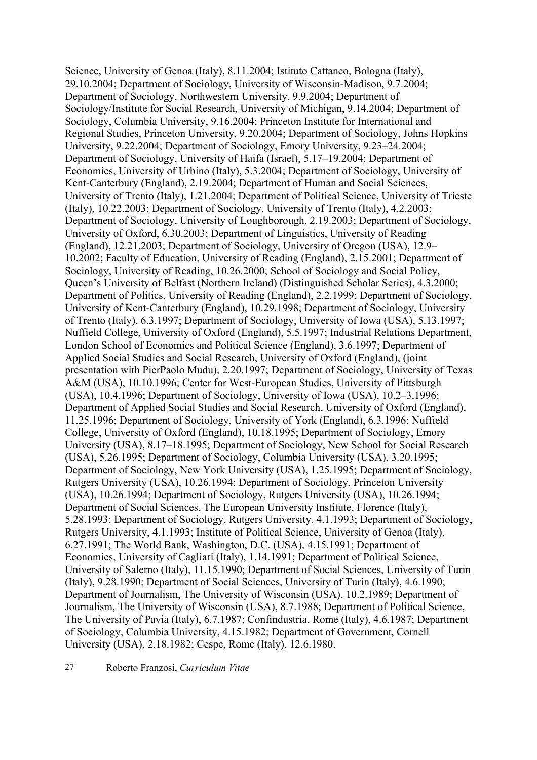Science, University of Genoa (Italy), 8.11.2004; Istituto Cattaneo, Bologna (Italy), 29.10.2004; Department of Sociology, University of Wisconsin-Madison, 9.7.2004; Department of Sociology, Northwestern University, 9.9.2004; Department of Sociology/Institute for Social Research, University of Michigan, 9.14.2004; Department of Sociology, Columbia University, 9.16.2004; Princeton Institute for International and Regional Studies, Princeton University, 9.20.2004; Department of Sociology, Johns Hopkins University, 9.22.2004; Department of Sociology, Emory University, 9.23–24.2004; Department of Sociology, University of Haifa (Israel), 5.17–19.2004; Department of Economics, University of Urbino (Italy), 5.3.2004; Department of Sociology, University of Kent-Canterbury (England), 2.19.2004; Department of Human and Social Sciences, University of Trento (Italy), 1.21.2004; Department of Political Science, University of Trieste (Italy), 10.22.2003; Department of Sociology, University of Trento (Italy), 4.2.2003; Department of Sociology, University of Loughborough, 2.19.2003; Department of Sociology, University of Oxford, 6.30.2003; Department of Linguistics, University of Reading (England), 12.21.2003; Department of Sociology, University of Oregon (USA), 12.9– 10.2002; Faculty of Education, University of Reading (England), 2.15.2001; Department of Sociology, University of Reading, 10.26.2000; School of Sociology and Social Policy, Queen's University of Belfast (Northern Ireland) (Distinguished Scholar Series), 4.3.2000; Department of Politics, University of Reading (England), 2.2.1999; Department of Sociology, University of Kent-Canterbury (England), 10.29.1998; Department of Sociology, University of Trento (Italy), 6.3.1997; Department of Sociology, University of Iowa (USA), 5.13.1997; Nuffield College, University of Oxford (England), 5.5.1997; Industrial Relations Department, London School of Economics and Political Science (England), 3.6.1997; Department of Applied Social Studies and Social Research, University of Oxford (England), (joint presentation with PierPaolo Mudu), 2.20.1997; Department of Sociology, University of Texas A&M (USA), 10.10.1996; Center for West-European Studies, University of Pittsburgh (USA), 10.4.1996; Department of Sociology, University of Iowa (USA), 10.2–3.1996; Department of Applied Social Studies and Social Research, University of Oxford (England), 11.25.1996; Department of Sociology, University of York (England), 6.3.1996; Nuffield College, University of Oxford (England), 10.18.1995; Department of Sociology, Emory University (USA), 8.17–18.1995; Department of Sociology, New School for Social Research (USA), 5.26.1995; Department of Sociology, Columbia University (USA), 3.20.1995; Department of Sociology, New York University (USA), 1.25.1995; Department of Sociology, Rutgers University (USA), 10.26.1994; Department of Sociology, Princeton University (USA), 10.26.1994; Department of Sociology, Rutgers University (USA), 10.26.1994; Department of Social Sciences, The European University Institute, Florence (Italy), 5.28.1993; Department of Sociology, Rutgers University, 4.1.1993; Department of Sociology, Rutgers University, 4.1.1993; Institute of Political Science, University of Genoa (Italy), 6.27.1991; The World Bank, Washington, D.C. (USA), 4.15.1991; Department of Economics, University of Cagliari (Italy), 1.14.1991; Department of Political Science, University of Salerno (Italy), 11.15.1990; Department of Social Sciences, University of Turin (Italy), 9.28.1990; Department of Social Sciences, University of Turin (Italy), 4.6.1990; Department of Journalism, The University of Wisconsin (USA), 10.2.1989; Department of Journalism, The University of Wisconsin (USA), 8.7.1988; Department of Political Science, The University of Pavia (Italy), 6.7.1987; Confindustria, Rome (Italy), 4.6.1987; Department of Sociology, Columbia University, 4.15.1982; Department of Government, Cornell University (USA), 2.18.1982; Cespe, Rome (Italy), 12.6.1980.